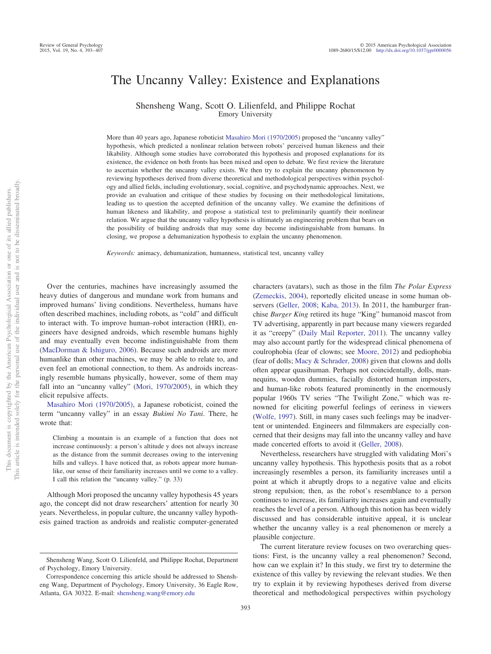# The Uncanny Valley: Existence and Explanations

Shensheng Wang, Scott O. Lilienfeld, and Philippe Rochat Emory University

More than 40 years ago, Japanese roboticist [Masahiro Mori \(1970/2005\)](#page-13-0) proposed the "uncanny valley" hypothesis, which predicted a nonlinear relation between robots' perceived human likeness and their likability. Although some studies have corroborated this hypothesis and proposed explanations for its existence, the evidence on both fronts has been mixed and open to debate. We first review the literature to ascertain whether the uncanny valley exists. We then try to explain the uncanny phenomenon by reviewing hypotheses derived from diverse theoretical and methodological perspectives within psychology and allied fields, including evolutionary, social, cognitive, and psychodynamic approaches. Next, we provide an evaluation and critique of these studies by focusing on their methodological limitations, leading us to question the accepted definition of the uncanny valley. We examine the definitions of human likeness and likability, and propose a statistical test to preliminarily quantify their nonlinear relation. We argue that the uncanny valley hypothesis is ultimately an engineering problem that bears on the possibility of building androids that may some day become indistinguishable from humans. In closing, we propose a dehumanization hypothesis to explain the uncanny phenomenon.

*Keywords:* animacy, dehumanization, humanness, statistical test, uncanny valley

Over the centuries, machines have increasingly assumed the heavy duties of dangerous and mundane work from humans and improved humans' living conditions. Nevertheless, humans have often described machines, including robots, as "cold" and difficult to interact with. To improve human–robot interaction (HRI), engineers have designed androids, which resemble humans highly and may eventually even become indistinguishable from them [\(MacDorman & Ishiguro, 2006\)](#page-13-1). Because such androids are more humanlike than other machines, we may be able to relate to, and even feel an emotional connection, to them. As androids increasingly resemble humans physically, however, some of them may fall into an "uncanny valley" [\(Mori, 1970/2005\)](#page-13-0), in which they elicit repulsive affects.

[Masahiro Mori \(1970/2005\),](#page-13-0) a Japanese roboticist, coined the term "uncanny valley" in an essay *Bukimi No Tani*. There, he wrote that:

Climbing a mountain is an example of a function that does not increase continuously: a person's altitude y does not always increase as the distance from the summit decreases owing to the intervening hills and valleys. I have noticed that, as robots appear more humanlike, our sense of their familiarity increases until we come to a valley. I call this relation the "uncanny valley." (p. 33)

Although Mori proposed the uncanny valley hypothesis 45 years ago, the concept did not draw researchers' attention for nearly 30 years. Nevertheless, in popular culture, the uncanny valley hypothesis gained traction as androids and realistic computer-generated characters (avatars), such as those in the film *The Polar Express* [\(Zemeckis, 2004\)](#page-14-0), reportedly elicited unease in some human observers [\(Geller, 2008;](#page-12-0) [Kaba, 2013\)](#page-13-2). In 2011, the hamburger franchise *Burger King* retired its huge "King" humanoid mascot from TV advertising, apparently in part because many viewers regarded it as "creepy" [\(Daily Mail Reporter, 2011\)](#page-12-1). The uncanny valley may also account partly for the widespread clinical phenomena of coulrophobia (fear of clowns; see [Moore, 2012\)](#page-13-3) and pediophobia (fear of dolls; [Macy & Schrader, 2008\)](#page-13-4) given that clowns and dolls often appear quasihuman. Perhaps not coincidentally, dolls, mannequins, wooden dummies, facially distorted human imposters, and human-like robots featured prominently in the enormously popular 1960s TV series "The Twilight Zone," which was renowned for eliciting powerful feelings of eeriness in viewers [\(Wolfe, 1997\)](#page-14-1). Still, in many cases such feelings may be inadvertent or unintended. Engineers and filmmakers are especially concerned that their designs may fall into the uncanny valley and have made concerted efforts to avoid it [\(Geller, 2008\)](#page-12-0).

Nevertheless, researchers have struggled with validating Mori's uncanny valley hypothesis. This hypothesis posits that as a robot increasingly resembles a person, its familiarity increases until a point at which it abruptly drops to a negative value and elicits strong repulsion; then, as the robot's resemblance to a person continues to increase, its familiarity increases again and eventually reaches the level of a person. Although this notion has been widely discussed and has considerable intuitive appeal, it is unclear whether the uncanny valley is a real phenomenon or merely a plausible conjecture.

The current literature review focuses on two overarching questions: First, is the uncanny valley a real phenomenon? Second, how can we explain it? In this study, we first try to determine the existence of this valley by reviewing the relevant studies. We then try to explain it by reviewing hypotheses derived from diverse theoretical and methodological perspectives within psychology

Shensheng Wang, Scott O. Lilienfeld, and Philippe Rochat, Department of Psychology, Emory University.

Correspondence concerning this article should be addressed to Shensheng Wang, Department of Psychology, Emory University, 36 Eagle Row, Atlanta, GA 30322. E-mail: [shensheng.wang@emory.edu](mailto:shensheng.wang@emory.edu)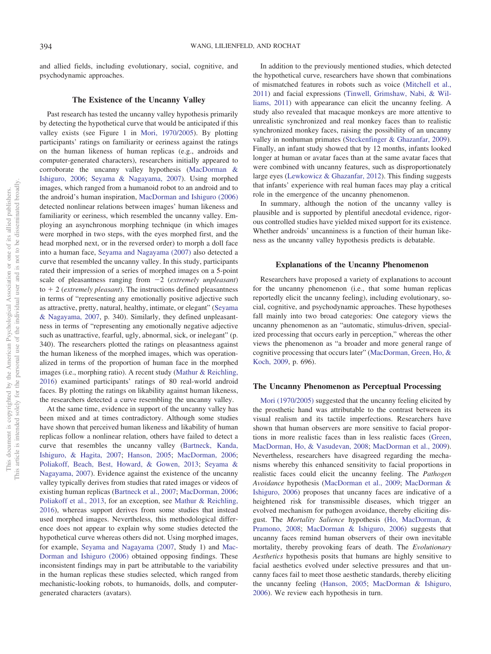and allied fields, including evolutionary, social, cognitive, and psychodynamic approaches.

## **The Existence of the Uncanny Valley**

Past research has tested the uncanny valley hypothesis primarily by detecting the hypothetical curve that would be anticipated if this valley exists (see Figure 1 in [Mori, 1970/2005\)](#page-13-0). By plotting participants' ratings on familiarity or eeriness against the ratings on the human likeness of human replicas (e.g., androids and computer-generated characters), researchers initially appeared to corroborate the uncanny valley hypothesis [\(MacDorman &](#page-13-1) [Ishiguro, 2006;](#page-13-1) [Seyama & Nagayama, 2007\)](#page-13-5). Using morphed images, which ranged from a humanoid robot to an android and to the android's human inspiration, [MacDorman and Ishiguro \(2006\)](#page-13-1) detected nonlinear relations between images' human likeness and familiarity or eeriness, which resembled the uncanny valley. Employing an asynchronous morphing technique (in which images were morphed in two steps, with the eyes morphed first, and the head morphed next, or in the reversed order) to morph a doll face into a human face, [Seyama and Nagayama \(2007\)](#page-13-5) also detected a curve that resembled the uncanny valley. In this study, participants rated their impression of a series of morphed images on a 5-point scale of pleasantness ranging from -2 (*extremely unpleasant*) to  $+2$  (*extremely pleasant*). The instructions defined pleasantness in terms of "representing any emotionally positive adjective such as attractive, pretty, natural, healthy, intimate, or elegant" [\(Seyama](#page-13-5) [& Nagayama, 2007,](#page-13-5) p. 340). Similarly, they defined unpleasantness in terms of "representing any emotionally negative adjective such as unattractive, fearful, ugly, abnormal, sick, or inelegant" (p. 340). The researchers plotted the ratings on pleasantness against the human likeness of the morphed images, which was operationalized in terms of the proportion of human face in the morphed images (i.e., morphing ratio). A recent study [\(Mathur & Reichling,](#page-13-6) [2016\)](#page-13-6) examined participants' ratings of 80 real-world android faces. By plotting the ratings on likability against human likeness, the researchers detected a curve resembling the uncanny valley.

At the same time, evidence in support of the uncanny valley has been mixed and at times contradictory. Although some studies have shown that perceived human likeness and likability of human replicas follow a nonlinear relation, others have failed to detect a curve that resembles the uncanny valley [\(Bartneck, Kanda,](#page-12-2) [Ishiguro, & Hagita, 2007;](#page-12-2) [Hanson, 2005;](#page-12-3) [MacDorman, 2006;](#page-13-7) [Poliakoff, Beach, Best, Howard, & Gowen, 2013;](#page-13-8) [Seyama &](#page-13-5) [Nagayama, 2007\)](#page-13-5). Evidence against the existence of the uncanny valley typically derives from studies that rated images or videos of existing human replicas [\(Bartneck et al., 2007;](#page-12-2) [MacDorman, 2006;](#page-13-7) [Poliakoff et al., 2013,](#page-13-8) for an exception, see [Mathur & Reichling,](#page-13-6) [2016\)](#page-13-6), whereas support derives from some studies that instead used morphed images. Nevertheless, this methodological difference does not appear to explain why some studies detected the hypothetical curve whereas others did not. Using morphed images, for example, [Seyama and Nagayama \(2007,](#page-13-5) Study 1) and [Mac-](#page-13-1)[Dorman and Ishiguro \(2006\)](#page-13-1) obtained opposing findings. These inconsistent findings may in part be attributable to the variability in the human replicas these studies selected, which ranged from mechanistic-looking robots, to humanoids, dolls, and computergenerated characters (avatars).

In addition to the previously mentioned studies, which detected the hypothetical curve, researchers have shown that combinations of mismatched features in robots such as voice [\(Mitchell et al.,](#page-13-9) [2011\)](#page-13-9) and facial expressions [\(Tinwell, Grimshaw, Nabi, & Wil](#page-14-2)[liams, 2011\)](#page-14-2) with appearance can elicit the uncanny feeling. A study also revealed that macaque monkeys are more attentive to unrealistic synchronized and real monkey faces than to realistic synchronized monkey faces, raising the possibility of an uncanny valley in nonhuman primates [\(Steckenfinger & Ghazanfar, 2009\)](#page-14-3). Finally, an infant study showed that by 12 months, infants looked longer at human or avatar faces than at the same avatar faces that were combined with uncanny features, such as disproportionately large eyes [\(Lewkowicz & Ghazanfar, 2012\)](#page-13-10). This finding suggests that infants' experience with real human faces may play a critical role in the emergence of the uncanny phenomenon.

In summary, although the notion of the uncanny valley is plausible and is supported by plentiful anecdotal evidence, rigorous controlled studies have yielded mixed support for its existence. Whether androids' uncanniness is a function of their human likeness as the uncanny valley hypothesis predicts is debatable.

#### **Explanations of the Uncanny Phenomenon**

Researchers have proposed a variety of explanations to account for the uncanny phenomenon (i.e., that some human replicas reportedly elicit the uncanny feeling), including evolutionary, social, cognitive, and psychodynamic approaches. These hypotheses fall mainly into two broad categories: One category views the uncanny phenomenon as an "automatic, stimulus-driven, specialized processing that occurs early in perception," whereas the other views the phenomenon as "a broader and more general range of cognitive processing that occurs later" [\(MacDorman, Green, Ho, &](#page-13-11) [Koch, 2009,](#page-13-11) p. 696).

## **The Uncanny Phenomenon as Perceptual Processing**

[Mori \(1970/2005\)](#page-13-0) suggested that the uncanny feeling elicited by the prosthetic hand was attributable to the contrast between its visual realism and its tactile imperfections. Researchers have shown that human observers are more sensitive to facial proportions in more realistic faces than in less realistic faces [\(Green,](#page-12-4) [MacDorman, Ho, & Vasudevan, 2008;](#page-12-4) [MacDorman et al., 2009\)](#page-13-11). Nevertheless, researchers have disagreed regarding the mechanisms whereby this enhanced sensitivity to facial proportions in realistic faces could elicit the uncanny feeling. The *Pathogen Avoidance* hypothesis [\(MacDorman et al., 2009;](#page-13-11) [MacDorman &](#page-13-1) [Ishiguro, 2006\)](#page-13-1) proposes that uncanny faces are indicative of a heightened risk for transmissible diseases, which trigger an evolved mechanism for pathogen avoidance, thereby eliciting disgust. The *Mortality Salience* hypothesis [\(Ho, MacDorman, &](#page-12-5) [Pramono, 2008;](#page-12-5) [MacDorman & Ishiguro, 2006\)](#page-13-1) suggests that uncanny faces remind human observers of their own inevitable mortality, thereby provoking fears of death. The *Evolutionary Aesthetics* hypothesis posits that humans are highly sensitive to facial aesthetics evolved under selective pressures and that uncanny faces fail to meet those aesthetic standards, thereby eliciting the uncanny feeling [\(Hanson, 2005;](#page-12-3) [MacDorman & Ishiguro,](#page-13-1) [2006\)](#page-13-1). We review each hypothesis in turn.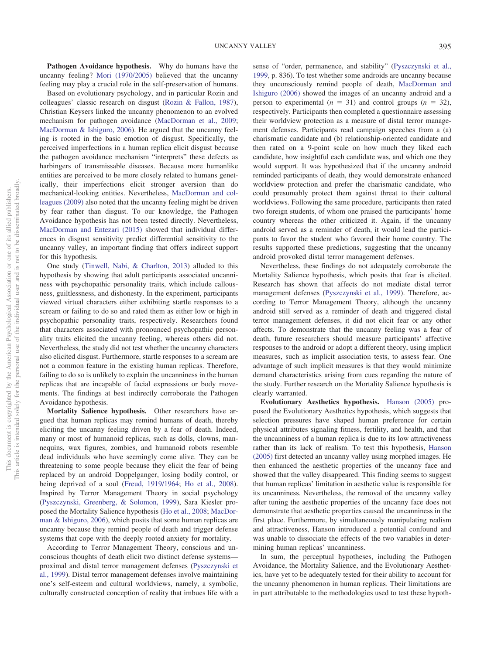**Pathogen Avoidance hypothesis.** Why do humans have the uncanny feeling? [Mori \(1970/2005\)](#page-13-0) believed that the uncanny feeling may play a crucial role in the self-preservation of humans.

Based on evolutionary psychology, and in particular Rozin and colleagues' classic research on disgust [\(Rozin & Fallon, 1987\)](#page-13-12), Christian Keysers linked the uncanny phenomenon to an evolved mechanism for pathogen avoidance [\(MacDorman et al., 2009;](#page-13-11) [MacDorman & Ishiguro, 2006\)](#page-13-1). He argued that the uncanny feeling is rooted in the basic emotion of disgust. Specifically, the perceived imperfections in a human replica elicit disgust because the pathogen avoidance mechanism "interprets" these defects as harbingers of transmissable diseases. Because more humanlike entities are perceived to be more closely related to humans genetically, their imperfections elicit stronger aversion than do mechanical-looking entities. Nevertheless, [MacDorman and col](#page-13-11)[leagues \(2009\)](#page-13-11) also noted that the uncanny feeling might be driven by fear rather than disgust. To our knowledge, the Pathogen Avoidance hypothesis has not been tested directly. Nevertheless, [MacDorman and Entezari \(2015\)](#page-13-13) showed that individual differences in disgust sensitivity predict differential sensitivity to the uncanny valley, an important finding that offers indirect support for this hypothesis.

One study [\(Tinwell, Nabi, & Charlton, 2013\)](#page-14-4) alluded to this hypothesis by showing that adult participants associated uncanniness with psychopathic personality traits, which include callousness, guiltlessness, and dishonesty. In the experiment, participants viewed virtual characters either exhibiting startle responses to a scream or failing to do so and rated them as either low or high in psychopathic personality traits, respectively. Researchers found that characters associated with pronounced psychopathic personality traits elicited the uncanny feeling, whereas others did not. Nevertheless, the study did not test whether the uncanny characters also elicited disgust. Furthermore, startle responses to a scream are not a common feature in the existing human replicas. Therefore, failing to do so is unlikely to explain the uncanniness in the human replicas that are incapable of facial expressions or body movements. The findings at best indirectly corroborate the Pathogen Avoidance hypothesis.

**Mortality Salience hypothesis.** Other researchers have argued that human replicas may remind humans of death, thereby eliciting the uncanny feeling driven by a fear of death. Indeed, many or most of humanoid replicas, such as dolls, clowns, mannequins, wax figures, zombies, and humanoid robots resemble dead individuals who have seemingly come alive. They can be threatening to some people because they elicit the fear of being replaced by an android Doppelganger, losing bodily control, or being deprived of a soul [\(Freud, 1919/1964;](#page-12-6) [Ho et al., 2008\)](#page-12-5). Inspired by Terror Management Theory in social psychology [\(Pyszczynski, Greenberg, & Solomon, 1999\)](#page-13-14), Sara Kiesler proposed the Mortality Salience hypothesis [\(Ho et al., 2008;](#page-12-5) [MacDor](#page-13-1)[man & Ishiguro, 2006\)](#page-13-1), which posits that some human replicas are uncanny because they remind people of death and trigger defense systems that cope with the deeply rooted anxiety for mortality.

According to Terror Management Theory, conscious and unconscious thoughts of death elicit two distinct defense systems proximal and distal terror management defenses [\(Pyszczynski et](#page-13-14) [al., 1999\)](#page-13-14). Distal terror management defenses involve maintaining one's self-esteem and cultural worldviews, namely, a symbolic, culturally constructed conception of reality that imbues life with a

sense of "order, permanence, and stability" [\(Pyszczynski et al.,](#page-13-14) [1999,](#page-13-14) p. 836). To test whether some androids are uncanny because they unconsciously remind people of death, [MacDorman and](#page-13-1) [Ishiguro \(2006\)](#page-13-1) showed the images of an uncanny android and a person to experimental  $(n = 31)$  and control groups  $(n = 32)$ , respectively. Participants then completed a questionnaire assessing their worldview protection as a measure of distal terror management defenses. Participants read campaign speeches from a (a) charismatic candidate and (b) relationship-oriented candidate and then rated on a 9-point scale on how much they liked each candidate, how insightful each candidate was, and which one they would support. It was hypothesized that if the uncanny android reminded participants of death, they would demonstrate enhanced worldview protection and prefer the charismatic candidate, who could presumably protect them against threat to their cultural worldviews. Following the same procedure, participants then rated two foreign students, of whom one praised the participants' home country whereas the other criticized it. Again, if the uncanny android served as a reminder of death, it would lead the participants to favor the student who favored their home country. The results supported these predictions, suggesting that the uncanny android provoked distal terror management defenses.

Nevertheless, these findings do not adequately corroborate the Mortality Salience hypothesis, which posits that fear is elicited. Research has shown that affects do not mediate distal terror management defenses [\(Pyszczynski et al., 1999\)](#page-13-14). Therefore, according to Terror Management Theory, although the uncanny android still served as a reminder of death and triggered distal terror management defenses, it did not elicit fear or any other affects. To demonstrate that the uncanny feeling was a fear of death, future researchers should measure participants' affective responses to the android or adopt a different theory, using implicit measures, such as implicit association tests, to assess fear. One advantage of such implicit measures is that they would minimize demand characteristics arising from cues regarding the nature of the study. Further research on the Mortality Salience hypothesis is clearly warranted.

**Evolutionary Aesthetics hypothesis.** [Hanson \(2005\)](#page-12-3) proposed the Evolutionary Aesthetics hypothesis, which suggests that selection pressures have shaped human preference for certain physical attributes signaling fitness, fertility, and health, and that the uncanniness of a human replica is due to its low attractiveness rather than its lack of realism. To test this hypothesis, [Hanson](#page-12-3) [\(2005\)](#page-12-3) first detected an uncanny valley using morphed images. He then enhanced the aesthetic properties of the uncanny face and showed that the valley disappeared. This finding seems to suggest that human replicas' limitation in aesthetic value is responsible for its uncanniness. Nevertheless, the removal of the uncanny valley after tuning the aesthetic properties of the uncanny face does not demonstrate that aesthetic properties caused the uncanniness in the first place. Furthermore, by simultaneously manipulating realism and attractiveness, Hanson introduced a potential confound and was unable to dissociate the effects of the two variables in determining human replicas' uncanniness.

In sum, the perceptual hypotheses, including the Pathogen Avoidance, the Mortality Salience, and the Evolutionary Aesthetics, have yet to be adequately tested for their ability to account for the uncanny phenomenon in human replicas. Their limitations are in part attributable to the methodologies used to test these hypoth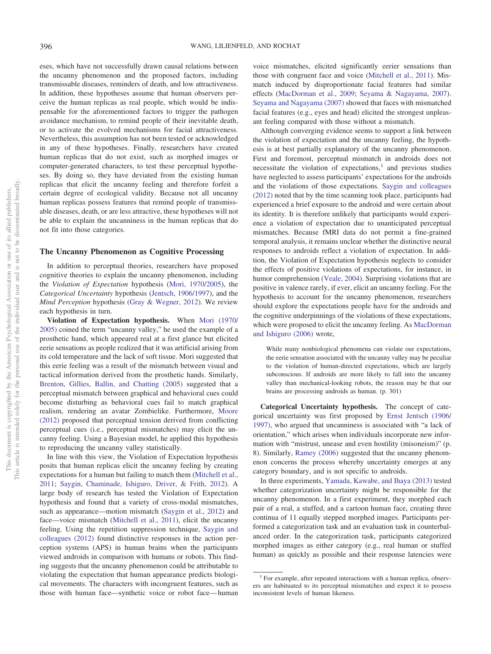eses, which have not successfully drawn causal relations between the uncanny phenomenon and the proposed factors, including transmissable diseases, reminders of death, and low attractiveness. In addition, these hypotheses assume that human observers perceive the human replicas as real people, which would be indispensable for the aforementioned factors to trigger the pathogen avoidance mechanism, to remind people of their inevitable death, or to activate the evolved mechanisms for facial attractiveness. Nevertheless, this assumption has not been tested or acknowledged in any of these hypotheses. Finally, researchers have created human replicas that do not exist, such as morphed images or computer-generated characters, to test these perceptual hypotheses. By doing so, they have deviated from the existing human replicas that elicit the uncanny feeling and therefore forfeit a certain degree of ecological validity. Because not all uncanny human replicas possess features that remind people of transmissable diseases, death, or are less attractive, these hypotheses will not be able to explain the uncanniness in the human replicas that do not fit into those categories.

#### **The Uncanny Phenomenon as Cognitive Processing**

In addition to perceptual theories, researchers have proposed cognitive theories to explain the uncanny phenomenon, including the *Violation of Expectation* hypothesis [\(Mori, 1970/2005\)](#page-13-0), the *Categorical Uncertainty* hypothesis [\(Jentsch, 1906/1997\)](#page-13-15), and the *Mind Perception* hypothesis [\(Gray & Wegner, 2012\)](#page-12-7). We review each hypothesis in turn.

**Violation of Expectation hypothesis.** When [Mori \(1970/](#page-13-0) [2005\)](#page-13-0) coined the term "uncanny valley," he used the example of a prosthetic hand, which appeared real at a first glance but elicited eerie sensations as people realized that it was artificial arising from its cold temperature and the lack of soft tissue. Mori suggested that this eerie feeling was a result of the mismatch between visual and tactical information derived from the prosthetic hands. Similarly, [Brenton, Gillies, Ballin, and Chatting \(2005\)](#page-12-8) suggested that a perceptual mismatch between graphical and behavioral cues could become disturbing as behavioral cues fail to match graphical realism, rendering an avatar Zombielike. Furthermore, [Moore](#page-13-3) [\(2012\)](#page-13-3) proposed that perceptual tension derived from conflicting perceptual cues (i.e., perceptual mismatches) may elicit the uncanny feeling. Using a Bayesian model, he applied this hypothesis to reproducing the uncanny valley statistically.

In line with this view, the Violation of Expectation hypothesis posits that human replicas elicit the uncanny feeling by creating expectations for a human but failing to match them [\(Mitchell et al.,](#page-13-9) [2011;](#page-13-9) [Saygin, Chaminade, Ishiguro, Driver, & Frith, 2012\)](#page-13-16). A large body of research has tested the Violation of Expectation hypothesis and found that a variety of cross-modal mismatches, such as appearance—motion mismatch [\(Saygin et al., 2012\)](#page-13-16) and face—voice mismatch [\(Mitchell et al., 2011\)](#page-13-9), elicit the uncanny feeling. Using the repetition suppression technique, [Saygin and](#page-13-16) [colleagues \(2012\)](#page-13-16) found distinctive responses in the action perception systems (APS) in human brains when the participants viewed androids in comparison with humans or robots. This finding suggests that the uncanny phenomenon could be attributable to violating the expectation that human appearance predicts biological movements. The characters with incongruent features, such as those with human face—synthetic voice or robot face—human

voice mismatches, elicited significantly eerier sensations than those with congruent face and voice [\(Mitchell et al., 2011\)](#page-13-9). Mismatch induced by disproportionate facial features had similar effects [\(MacDorman et al., 2009;](#page-13-11) [Seyama & Nagayama, 2007\)](#page-13-5). [Seyama and Nagayama \(2007\)](#page-13-5) showed that faces with mismatched facial features (e.g., eyes and head) elicited the strongest unpleasant feeling compared with those without a mismatch.

Although converging evidence seems to support a link between the violation of expectation and the uncanny feeling, the hypothesis is at best partially explanatory of the uncanny phenomenon. First and foremost, perceptual mismatch in androids does not necessitate the violation of expectations, $<sup>1</sup>$  and previous studies</sup> have neglected to assess participants' expectations for the androids and the violations of those expectations. [Saygin and colleagues](#page-13-16) [\(2012\)](#page-13-16) noted that by the time scanning took place, participants had experienced a brief exposure to the android and were certain about its identity. It is therefore unlikely that participants would experience a violation of expectation due to unanticipated perceptual mismatches. Because fMRI data do not permit a fine-grained temporal analysis, it remains unclear whether the distinctive neural responses to androids reflect a violation of expectation. In addition, the Violation of Expectation hypothesis neglects to consider the effects of positive violations of expectations, for instance, in humor comprehension [\(Veale, 2004\)](#page-14-5). Surprising violations that are positive in valence rarely, if ever, elicit an uncanny feeling. For the hypothesis to account for the uncanny phenomenon, researchers should explore the expectations people have for the androids and the cognitive underpinnings of the violations of these expectations, which were proposed to elicit the uncanny feeling. As [MacDorman](#page-13-1) [and Ishiguro \(2006\)](#page-13-1) wrote,

While many nonbiological phenomena can violate our expectations, the eerie sensation associated with the uncanny valley may be peculiar to the violation of human-directed expectations, which are largely subconscious. If androids are more likely to fall into the uncanny valley than mechanical-looking robots, the reason may be that our brains are processing androids as human. (p. 301)

**Categorical Uncertainty hypothesis.** The concept of categorical uncertainty was first proposed by [Ernst Jentsch \(1906/](#page-13-15) [1997\),](#page-13-15) who argued that uncanniness is associated with "a lack of orientation," which arises when individuals incorporate new information with "mistrust, unease and even hostility (misoneism)" (p. 8). Similarly, [Ramey \(2006\)](#page-13-17) suggested that the uncanny phenomenon concerns the process whereby uncertainty emerges at any category boundary, and is not specific to androids.

In three experiments, [Yamada, Kawabe, and Ihaya \(2013\)](#page-14-6) tested whether categorization uncertainty might be responsible for the uncanny phenomenon. In a first experiment, they morphed each pair of a real, a stuffed, and a cartoon human face, creating three continua of 11 equally stepped morphed images. Participants performed a categorization task and an evaluation task in counterbalanced order. In the categorization task, participants categorized morphed images as either category (e.g., real human or stuffed human) as quickly as possible and their response latencies were

<sup>&</sup>lt;sup>1</sup> For example, after repeated interactions with a human replica, observers are habituated to its perceptual mismatches and expect it to possess inconsistent levels of human likeness.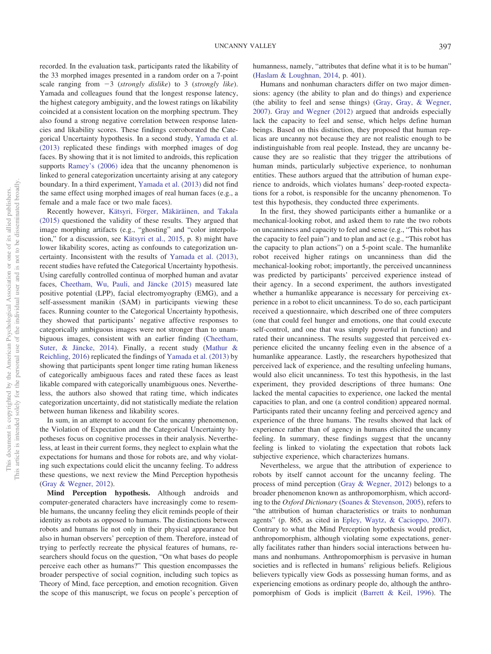recorded. In the evaluation task, participants rated the likability of the 33 morphed images presented in a random order on a 7-point scale ranging from -3 (*strongly dislike*) to 3 (*strongly like*). Yamada and colleagues found that the longest response latency, the highest category ambiguity, and the lowest ratings on likability coincided at a consistent location on the morphing spectrum. They also found a strong negative correlation between response latencies and likability scores. These findings corroborated the Categorical Uncertainty hypothesis. In a second study, [Yamada et al.](#page-14-6) [\(2013\)](#page-14-6) replicated these findings with morphed images of dog faces. By showing that it is not limited to androids, this replication supports [Ramey's \(2006\)](#page-13-17) idea that the uncanny phenomenon is linked to general categorization uncertainty arising at any category boundary. In a third experiment, [Yamada et al. \(2013\)](#page-14-6) did not find the same effect using morphed images of real human faces (e.g., a female and a male face or two male faces).

Recently however, [Kätsyri, Förger, Mäkäräinen, and Takala](#page-13-18) [\(2015\)](#page-13-18) questioned the validity of these results. They argued that image morphing artifacts (e.g., "ghosting" and "color interpolation," for a discussion, see [Kätsyri et al., 2015,](#page-13-18) p. 8) might have lower likability scores, acting as confounds to categorization uncertainty. Inconsistent with the results of [Yamada et al. \(2013\),](#page-14-6) recent studies have refuted the Categorical Uncertainty hypothesis. Using carefully controlled continua of morphed human and avatar faces, [Cheetham, Wu, Pauli, and Jäncke \(2015\)](#page-12-9) measured late positive potential (LPP), facial electromyography (EMG), and a self-assessment manikin (SAM) in participants viewing these faces. Running counter to the Categorical Uncertainty hypothesis, they showed that participants' negative affective responses to categorically ambiguous images were not stronger than to unambiguous images, consistent with an earlier finding [\(Cheetham,](#page-12-10) [Suter, & Jäncke, 2014\)](#page-12-10). Finally, a recent study [\(Mathur &](#page-13-6) [Reichling, 2016\)](#page-13-6) replicated the findings of [Yamada et al. \(2013\)](#page-14-6) by showing that participants spent longer time rating human likeness of categorically ambiguous faces and rated these faces as least likable compared with categorically unambiguous ones. Nevertheless, the authors also showed that rating time, which indicates categorization uncertainty, did not statistically mediate the relation between human likeness and likability scores.

In sum, in an attempt to account for the uncanny phenomenon, the Violation of Expectation and the Categorical Uncertainty hypotheses focus on cognitive processes in their analysis. Nevertheless, at least in their current forms, they neglect to explain what the expectations for humans and those for robots are, and why violating such expectations could elicit the uncanny feeling. To address these questions, we next review the Mind Perception hypothesis [\(Gray & Wegner, 2012\)](#page-12-7).

**Mind Perception hypothesis.** Although androids and computer-generated characters have increasingly come to resemble humans, the uncanny feeling they elicit reminds people of their identity as robots as opposed to humans. The distinctions between robots and humans lie not only in their physical appearance but also in human observers' perception of them. Therefore, instead of trying to perfectly recreate the physical features of humans, researchers should focus on the question, "On what bases do people perceive each other as humans?" This question encompasses the broader perspective of social cognition, including such topics as Theory of Mind, face perception, and emotion recognition. Given the scope of this manuscript, we focus on people's perception of humanness, namely, "attributes that define what it is to be human" [\(Haslam & Loughnan, 2014,](#page-12-11) p. 401).

Humans and nonhuman characters differ on two major dimensions: agency (the ability to plan and do things) and experience (the ability to feel and sense things) [\(Gray, Gray, & Wegner,](#page-12-12) [2007\)](#page-12-12). [Gray and Wegner \(2012\)](#page-12-7) argued that androids especially lack the capacity to feel and sense, which helps define human beings. Based on this distinction, they proposed that human replicas are uncanny not because they are not realistic enough to be indistinguishable from real people. Instead, they are uncanny because they are so realistic that they trigger the attributions of human minds, particularly subjective experience, to nonhuman entities. These authors argued that the attribution of human experience to androids, which violates humans' deep-rooted expectations for a robot, is responsible for the uncanny phenomenon. To test this hypothesis, they conducted three experiments.

In the first, they showed participants either a humanlike or a mechanical-looking robot, and asked them to rate the two robots on uncanniness and capacity to feel and sense (e.g., "This robot has the capacity to feel pain") and to plan and act (e.g., "This robot has the capacity to plan actions") on a 5-point scale. The humanlike robot received higher ratings on uncanniness than did the mechanical-looking robot; importantly, the perceived uncanniness was predicted by participants' perceived experience instead of their agency. In a second experiment, the authors investigated whether a humanlike appearance is necessary for perceiving experience in a robot to elicit uncanniness. To do so, each participant received a questionnaire, which described one of three computers (one that could feel hunger and emotions, one that could execute self-control, and one that was simply powerful in function) and rated their uncanniness. The results suggested that perceived experience elicited the uncanny feeling even in the absence of a humanlike appearance. Lastly, the researchers hypothesized that perceived lack of experience, and the resulting unfeeling humans, would also elicit uncanniness. To test this hypothesis, in the last experiment, they provided descriptions of three humans: One lacked the mental capacities to experience, one lacked the mental capacities to plan, and one (a control condition) appeared normal. Participants rated their uncanny feeling and perceived agency and experience of the three humans. The results showed that lack of experience rather than of agency in humans elicited the uncanny feeling. In summary, these findings suggest that the uncanny feeling is linked to violating the expectation that robots lack subjective experience, which characterizes humans.

Nevertheless, we argue that the attribution of experience to robots by itself cannot account for the uncanny feeling. The process of mind perception [\(Gray & Wegner, 2012\)](#page-12-7) belongs to a broader phenomenon known as anthropomorphism, which according to the *Oxford Dictionary* [\(Soanes & Stevenson, 2005\)](#page-13-19), refers to "the attribution of human characteristics or traits to nonhuman agents" (p. 865, as cited in [Epley, Waytz, & Cacioppo, 2007\)](#page-12-13). Contrary to what the Mind Perception hypothesis would predict, anthropomorphism, although violating some expectations, generally facilitates rather than hinders social interactions between humans and nonhumans. Anthropomorphism is pervasive in human societies and is reflected in humans' religious beliefs. Religious believers typically view Gods as possessing human forms, and as experiencing emotions as ordinary people do, although the anthropomorphism of Gods is implicit [\(Barrett & Keil, 1996\)](#page-12-14). The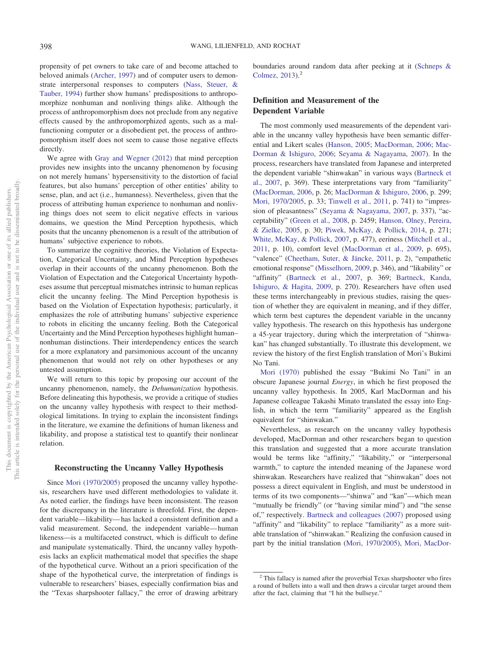propensity of pet owners to take care of and become attached to beloved animals [\(Archer, 1997\)](#page-11-0) and of computer users to demonstrate interpersonal responses to computers [\(Nass, Steuer, &](#page-13-20) [Tauber, 1994\)](#page-13-20) further show humans' predispositions to anthropomorphize nonhuman and nonliving things alike. Although the process of anthropomorphism does not preclude from any negative effects caused by the anthropomorphized agents, such as a malfunctioning computer or a disobedient pet, the process of anthropomorphism itself does not seem to cause those negative effects directly.

We agree with [Gray and Wegner \(2012\)](#page-12-7) that mind perception provides new insights into the uncanny phenomenon by focusing on not merely humans' hypersensitivity to the distortion of facial features, but also humans' perception of other entities' ability to sense, plan, and act (i.e., humanness). Nevertheless, given that the process of attributing human experience to nonhuman and nonliving things does not seem to elicit negative effects in various domains, we question the Mind Perception hypothesis, which posits that the uncanny phenomenon is a result of the attribution of humans' subjective experience to robots.

To summarize the cognitive theories, the Violation of Expectation, Categorical Uncertainty, and Mind Perception hypotheses overlap in their accounts of the uncanny phenomenon. Both the Violation of Expectation and the Categorical Uncertainty hypotheses assume that perceptual mismatches intrinsic to human replicas elicit the uncanny feeling. The Mind Perception hypothesis is based on the Violation of Expectation hypothesis; particularly, it emphasizes the role of attributing humans' subjective experience to robots in eliciting the uncanny feeling. Both the Categorical Uncertainty and the Mind Perception hypotheses highlight human– nonhuman distinctions. Their interdependency entices the search for a more explanatory and parsimonious account of the uncanny phenomenon that would not rely on other hypotheses or any untested assumption.

We will return to this topic by proposing our account of the uncanny phenomenon, namely, the *Dehumanization* hypothesis. Before delineating this hypothesis, we provide a critique of studies on the uncanny valley hypothesis with respect to their methodological limitations. In trying to explain the inconsistent findings in the literature, we examine the definitions of human likeness and likability, and propose a statistical test to quantify their nonlinear relation.

## **Reconstructing the Uncanny Valley Hypothesis**

Since [Mori \(1970/2005\)](#page-13-0) proposed the uncanny valley hypothesis, researchers have used different methodologies to validate it. As noted earlier, the findings have been inconsistent. The reason for the discrepancy in the literature is threefold. First, the dependent variable—likability—has lacked a consistent definition and a valid measurement. Second, the independent variable—human likeness—is a multifaceted construct, which is difficult to define and manipulate systematically. Third, the uncanny valley hypothesis lacks an explicit mathematical model that specifies the shape of the hypothetical curve. Without an a priori specification of the shape of the hypothetical curve, the interpretation of findings is vulnerable to researchers' biases, especially confirmation bias and the "Texas sharpshooter fallacy," the error of drawing arbitrary

boundaries around random data after peeking at it [\(Schneps &](#page-13-21) [Colmez, 2013\)](#page-13-21).<sup>2</sup>

## **Definition and Measurement of the Dependent Variable**

The most commonly used measurements of the dependent variable in the uncanny valley hypothesis have been semantic differ-ential and Likert scales [\(Hanson, 2005;](#page-12-3) [MacDorman, 2006;](#page-13-7) [Mac-](#page-13-1)[Dorman & Ishiguro, 2006;](#page-13-1) [Seyama & Nagayama, 2007\)](#page-13-5). In the process, researchers have translated from Japanese and interpreted the dependent variable "shinwakan" in various ways [\(Bartneck et](#page-12-2) [al., 2007,](#page-12-2) p. 369). These interpretations vary from "familiarity" [\(MacDorman, 2006,](#page-13-7) p. 26; [MacDorman & Ishiguro, 2006,](#page-13-1) p. 299; [Mori, 1970/2005,](#page-13-0) p. 33; [Tinwell et al., 2011,](#page-14-2) p. 741) to "impression of pleasantness" [\(Seyama & Nagayama, 2007,](#page-13-5) p. 337), "acceptability" [\(Green et al., 2008,](#page-12-4) p. 2459; [Hanson, Olney, Pereira,](#page-12-15) [& Zielke, 2005,](#page-12-15) p. 30; [Piwek, McKay, & Pollick, 2014,](#page-13-22) p. 271; [White, McKay, & Pollick, 2007,](#page-14-7) p. 477), eeriness [\(Mitchell et al.,](#page-13-9) [2011,](#page-13-9) p. 10), comfort level [\(MacDorman et al., 2009,](#page-13-11) p. 695), "valence" [\(Cheetham, Suter, & Jäncke, 2011,](#page-12-16) p. 2), "empathetic emotional response" [\(Misselhorn, 2009,](#page-13-23) p. 346), and "likability" or "affinity" [\(Bartneck et al., 2007,](#page-12-2) p. 369; [Bartneck, Kanda,](#page-12-17) [Ishiguro, & Hagita, 2009,](#page-12-17) p. 270). Researchers have often used these terms interchangeably in previous studies, raising the question of whether they are equivalent in meaning, and if they differ, which term best captures the dependent variable in the uncanny valley hypothesis. The research on this hypothesis has undergone a 45-year trajectory, during which the interpretation of "shinwakan" has changed substantially. To illustrate this development, we review the history of the first English translation of Mori's Bukimi No Tani.

[Mori \(1970\)](#page-13-0) published the essay "Bukimi No Tani" in an obscure Japanese journal *Energy*, in which he first proposed the uncanny valley hypothesis. In 2005, Karl MacDorman and his Japanese colleague Takashi Minato translated the essay into English, in which the term "familiarity" appeared as the English equivalent for "shinwakan."

Nevertheless, as research on the uncanny valley hypothesis developed, MacDorman and other researchers began to question this translation and suggested that a more accurate translation would be terms like "affinity," "likability," or "interpersonal warmth," to capture the intended meaning of the Japanese word shinwakan. Researchers have realized that "shinwakan" does not possess a direct equivalent in English, and must be understood in terms of its two components—"shinwa" and "kan"—which mean "mutually be friendly" (or "having similar mind") and "the sense of," respectively. [Bartneck and colleagues \(2007\)](#page-12-2) proposed using "affinity" and "likability" to replace "familiarity" as a more suitable translation of "shinwakan." Realizing the confusion caused in part by the initial translation [\(Mori, 1970/2005\)](#page-13-0), [Mori, MacDor-](#page-13-24)

<sup>2</sup> This fallacy is named after the proverbial Texas sharpshooter who fires a round of bullets into a wall and then draws a circular target around them after the fact, claiming that "I hit the bullseye."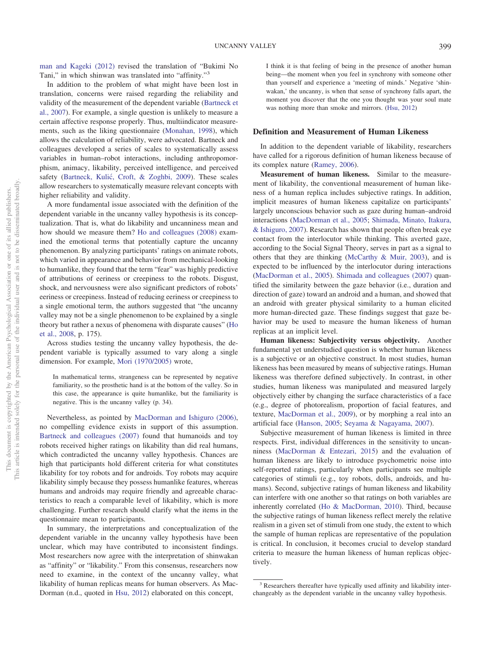[man and Kageki \(2012\)](#page-13-24) revised the translation of "Bukimi No Tani," in which shinwan was translated into "affinity."<sup>3</sup>

In addition to the problem of what might have been lost in translation, concerns were raised regarding the reliability and validity of the measurement of the dependent variable [\(Bartneck et](#page-12-2) [al., 2007\)](#page-12-2). For example, a single question is unlikely to measure a certain affective response properly. Thus, multiindicator measurements, such as the liking questionnaire [\(Monahan, 1998\)](#page-13-25), which allows the calculation of reliability, were advocated. Bartneck and colleagues developed a series of scales to systematically assess variables in human–robot interactions, including anthropomorphism, animacy, likability, perceived intelligence, and perceived safety (Bartneck, Kulić, Croft, & Zoghbi, 2009). These scales allow researchers to systematically measure relevant concepts with higher reliability and validity.

A more fundamental issue associated with the definition of the dependent variable in the uncanny valley hypothesis is its conceptualization. That is, what do likability and uncanniness mean and how should we measure them? [Ho and colleagues \(2008\)](#page-12-5) examined the emotional terms that potentially capture the uncanny phenomenon. By analyzing participants' ratings on animate robots, which varied in appearance and behavior from mechanical-looking to humanlike, they found that the term "fear" was highly predictive of attributions of eeriness or creepiness to the robots. Disgust, shock, and nervousness were also significant predictors of robots' eeriness or creepiness. Instead of reducing eeriness or creepiness to a single emotional term, the authors suggested that "the uncanny valley may not be a single phenomenon to be explained by a single theory but rather a nexus of phenomena with disparate causes" [\(Ho](#page-12-5) [et al., 2008,](#page-12-5) p. 175).

Across studies testing the uncanny valley hypothesis, the dependent variable is typically assumed to vary along a single dimension. For example, [Mori \(1970/2005\)](#page-13-0) wrote,

In mathematical terms, strangeness can be represented by negative familiarity, so the prosthetic hand is at the bottom of the valley. So in this case, the appearance is quite humanlike, but the familiarity is negative. This is the uncanny valley (p. 34).

Nevertheless, as pointed by [MacDorman and Ishiguro \(2006\),](#page-13-1) no compelling evidence exists in support of this assumption. [Bartneck and colleagues \(2007\)](#page-12-2) found that humanoids and toy robots received higher ratings on likability than did real humans, which contradicted the uncanny valley hypothesis. Chances are high that participants hold different criteria for what constitutes likability for toy robots and for androids. Toy robots may acquire likability simply because they possess humanlike features, whereas humans and androids may require friendly and agreeable characteristics to reach a comparable level of likability, which is more challenging. Further research should clarify what the items in the questionnaire mean to participants.

In summary, the interpretations and conceptualization of the dependent variable in the uncanny valley hypothesis have been unclear, which may have contributed to inconsistent findings. Most researchers now agree with the interpretation of shinwakan as "affinity" or "likability." From this consensus, researchers now need to examine, in the context of the uncanny valley, what likability of human replicas means for human observers. As Mac-Dorman (n.d., quoted in [Hsu, 2012\)](#page-12-19) elaborated on this concept,

I think it is that feeling of being in the presence of another human being—the moment when you feel in synchrony with someone other than yourself and experience a 'meeting of minds.' Negative 'shinwakan,' the uncanny, is when that sense of synchrony falls apart, the moment you discover that the one you thought was your soul mate was nothing more than smoke and mirrors. [\(Hsu, 2012\)](#page-12-19)

#### **Definition and Measurement of Human Likeness**

In addition to the dependent variable of likability, researchers have called for a rigorous definition of human likeness because of its complex nature [\(Ramey, 2006\)](#page-13-17).

**Measurement of human likeness.** Similar to the measurement of likability, the conventional measurement of human likeness of a human replica includes subjective ratings. In addition, implicit measures of human likeness capitalize on participants' largely unconscious behavior such as gaze during human–android interactions [\(MacDorman et al., 2005;](#page-13-26) [Shimada, Minato, Itakura,](#page-13-27) [& Ishiguro, 2007\)](#page-13-27). Research has shown that people often break eye contact from the interlocutor while thinking. This averted gaze, according to the Social Signal Theory, serves in part as a signal to others that they are thinking [\(McCarthy & Muir, 2003\)](#page-13-28), and is expected to be influenced by the interlocutor during interactions [\(MacDorman et al., 2005\)](#page-13-26). [Shimada and colleagues \(2007\)](#page-13-27) quantified the similarity between the gaze behavior (i.e., duration and direction of gaze) toward an android and a human, and showed that an android with greater physical similarity to a human elicited more human-directed gaze. These findings suggest that gaze behavior may be used to measure the human likeness of human replicas at an implicit level.

**Human likeness: Subjectivity versus objectivity.** Another fundamental yet understudied question is whether human likeness is a subjective or an objective construct. In most studies, human likeness has been measured by means of subjective ratings. Human likeness was therefore defined subjectively. In contrast, in other studies, human likeness was manipulated and measured largely objectively either by changing the surface characteristics of a face (e.g., degree of photorealism, proportion of facial features, and texture, [MacDorman et al., 2009\)](#page-13-11), or by morphing a real into an artificial face [\(Hanson, 2005;](#page-12-3) [Seyama & Nagayama, 2007\)](#page-13-5).

Subjective measurement of human likeness is limited in three respects. First, individual differences in the sensitivity to uncanniness [\(MacDorman & Entezari, 2015\)](#page-13-13) and the evaluation of human likeness are likely to introduce psychometric noise into self-reported ratings, particularly when participants see multiple categories of stimuli (e.g., toy robots, dolls, androids, and humans). Second, subjective ratings of human likeness and likability can interfere with one another so that ratings on both variables are inherently correlated [\(Ho & MacDorman, 2010\)](#page-12-20). Third, because the subjective ratings of human likeness reflect merely the relative realism in a given set of stimuli from one study, the extent to which the sample of human replicas are representative of the population is critical. In conclusion, it becomes crucial to develop standard criteria to measure the human likeness of human replicas objectively.

<sup>&</sup>lt;sup>3</sup> Researchers thereafter have typically used affinity and likability interchangeably as the dependent variable in the uncanny valley hypothesis.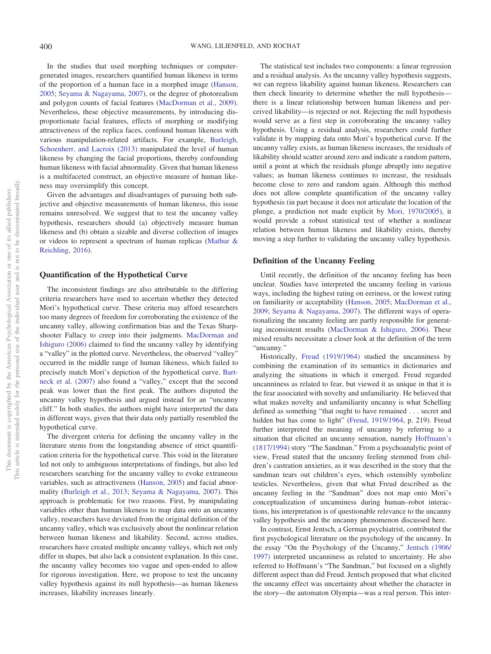In the studies that used morphing techniques or computergenerated images, researchers quantified human likeness in terms of the proportion of a human face in a morphed image [\(Hanson,](#page-12-3) [2005;](#page-12-3) [Seyama & Nagayama, 2007\)](#page-13-5), or the degree of photorealism and polygon counts of facial features [\(MacDorman et al., 2009\)](#page-13-11). Nevertheless, these objective measurements, by introducing disproportionate facial features, effects of morphing or modifying attractiveness of the replica faces, confound human likeness with various manipulation-related artifacts. For example, [Burleigh,](#page-12-21) [Schoenherr, and Lacroix \(2013\)](#page-12-21) manipulated the level of human likeness by changing the facial proportions, thereby confounding human likeness with facial abnormality. Given that human likeness is a multifaceted construct, an objective measure of human likeness may oversimplify this concept.

Given the advantages and disadvantages of pursuing both subjective and objective measurements of human likeness, this issue remains unresolved. We suggest that to test the uncanny valley hypothesis, researchers should (a) objectively measure human likeness and (b) obtain a sizable and diverse collection of images or videos to represent a spectrum of human replicas [\(Mathur &](#page-13-6) [Reichling, 2016\)](#page-13-6).

## **Quantification of the Hypothetical Curve**

The inconsistent findings are also attributable to the differing criteria researchers have used to ascertain whether they detected Mori's hypothetical curve. These criteria may afford researchers too many degrees of freedom for corroborating the existence of the uncanny valley, allowing confirmation bias and the Texas Sharpshooter Fallacy to creep into their judgments. [MacDorman and](#page-13-1) [Ishiguro \(2006\)](#page-13-1) claimed to find the uncanny valley by identifying a "valley" in the plotted curve. Nevertheless, the observed "valley" occurred in the middle range of human likeness, which failed to precisely match Mori's depiction of the hypothetical curve. [Bart](#page-12-2)[neck et al. \(2007\)](#page-12-2) also found a "valley," except that the second peak was lower than the first peak. The authors disputed the uncanny valley hypothesis and argued instead for an "uncanny cliff." In both studies, the authors might have interpreted the data in different ways, given that their data only partially resembled the hypothetical curve.

The divergent criteria for defining the uncanny valley in the literature stems from the longstanding absence of strict quantification criteria for the hypothetical curve. This void in the literature led not only to ambiguous interpretations of findings, but also led researchers searching for the uncanny valley to evoke extraneous variables, such as attractiveness [\(Hanson, 2005\)](#page-12-3) and facial abnormality [\(Burleigh et al., 2013;](#page-12-21) [Seyama & Nagayama, 2007\)](#page-13-5). This approach is problematic for two reasons. First, by manipulating variables other than human likeness to map data onto an uncanny valley, researchers have deviated from the original definition of the uncanny valley, which was exclusively about the nonlinear relation between human likeness and likability. Second, across studies, researchers have created multiple uncanny valleys, which not only differ in shapes, but also lack a consistent explanation. In this case, the uncanny valley becomes too vague and open-ended to allow for rigorous investigation. Here, we propose to test the uncanny valley hypothesis against its null hypothesis—as human likeness increases, likability increases linearly.

The statistical test includes two components: a linear regression and a residual analysis. As the uncanny valley hypothesis suggests, we can regress likability against human likeness. Researchers can then check linearity to determine whether the null hypothesis there is a linear relationship between human likeness and perceived likability—is rejected or not. Rejecting the null hypothesis would serve as a first step in corroborating the uncanny valley hypothesis. Using a residual analysis, researchers could further validate it by mapping data onto Mori's hypothetical curve. If the uncanny valley exists, as human likeness increases, the residuals of likability should scatter around zero and indicate a random pattern, until a point at which the residuals plunge abruptly into negative values; as human likeness continues to increase, the residuals become close to zero and random again. Although this method does not allow complete quantification of the uncanny valley hypothesis (in part because it does not articulate the location of the plunge, a prediction not made explicit by [Mori, 1970/2005\)](#page-13-0), it would provide a robust statistical test of whether a nonlinear relation between human likeness and likability exists, thereby moving a step further to validating the uncanny valley hypothesis.

#### **Definition of the Uncanny Feeling**

Until recently, the definition of the uncanny feeling has been unclear. Studies have interpreted the uncanny feeling in various ways, including the highest rating on eeriness, or the lowest rating on familiarity or acceptability [\(Hanson, 2005;](#page-12-3) [MacDorman et al.,](#page-13-11) [2009;](#page-13-11) [Seyama & Nagayama, 2007\)](#page-13-5). The different ways of operationalizing the uncanny feeling are partly responsible for generating inconsistent results [\(MacDorman & Ishiguro, 2006\)](#page-13-1). These mixed results necessitate a closer look at the definition of the term "uncanny."

Historically, [Freud \(1919/1964\)](#page-12-6) studied the uncanniness by combining the examination of its semantics in dictionaries and analyzing the situations in which it emerged. Freud regarded uncanniness as related to fear, but viewed it as unique in that it is the fear associated with novelty and unfamiliarity. He believed that what makes novelty and unfamiliarity uncanny is what Schelling defined as something "that ought to have remained... secret and hidden but has come to light" [\(Freud, 1919/1964,](#page-12-6) p. 219). Freud further interpreted the meaning of uncanny by referring to a situation that elicited an uncanny sensation, namely [Hoffmann's](#page-12-22) [\(1817/1994\)](#page-12-22) story "The Sandman." From a psychoanalytic point of view, Freud stated that the uncanny feeling stemmed from children's castration anxieties, as it was described in the story that the sandman tears out children's eyes, which ostensibly symbolize testicles. Nevertheless, given that what Freud described as the uncanny feeling in the "Sandman" does not map onto Mori's conceptualization of uncanniness during human–robot interactions, his interpretation is of questionable relevance to the uncanny valley hypothesis and the uncanny phenomenon discussed here.

In contrast, Ernst Jentsch, a German psychiatrist, contributed the first psychological literature on the psychology of the uncanny. In the essay "On the Psychology of the Uncanny," [Jentsch \(1906/](#page-13-15) [1997\)](#page-13-15) interpreted uncanniness as related to uncertainty. He also referred to Hoffmann's "The Sandman," but focused on a slightly different aspect than did Freud. Jentsch proposed that what elicited the uncanny effect was uncertainty about whether the character in the story—the automaton Olympia—was a real person. This inter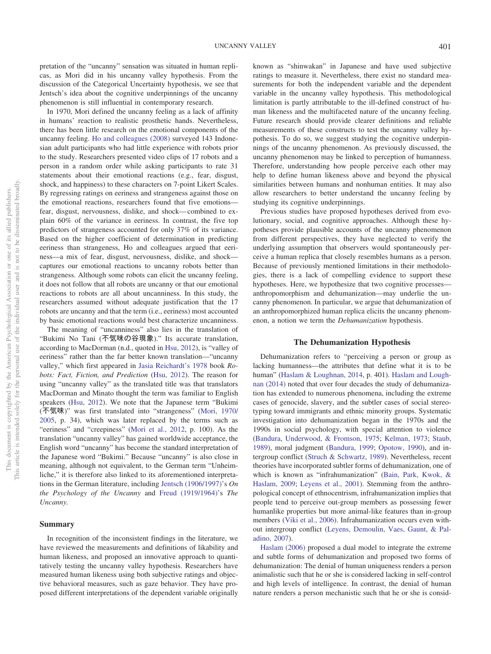pretation of the "uncanny" sensation was situated in human replicas, as Mori did in his uncanny valley hypothesis. From the discussion of the Categorical Uncertainty hypothesis, we see that Jentsch's idea about the cognitive underpinnings of the uncanny phenomenon is still influential in contemporary research.

In 1970, Mori defined the uncanny feeling as a lack of affinity in humans' reaction to realistic prosthetic hands. Nevertheless, there has been little research on the emotional components of the uncanny feeling. [Ho and colleagues \(2008\)](#page-12-5) surveyed 143 Indonesian adult participants who had little experience with robots prior to the study. Researchers presented video clips of 17 robots and a person in a random order while asking participants to rate 31 statements about their emotional reactions (e.g., fear, disgust, shock, and happiness) to these characters on 7-point Likert Scales. By regressing ratings on eeriness and strangeness against those on the emotional reactions, researchers found that five emotions fear, disgust, nervousness, dislike, and shock—combined to explain 60% of the variance in eeriness. In contrast, the five top predictors of strangeness accounted for only 37% of its variance. Based on the higher coefficient of determination in predicting eeriness than strangeness, Ho and colleagues argued that eeriness—a mix of fear, disgust, nervousness, dislike, and shock captures our emotional reactions to uncanny robots better than strangeness. Although some robots can elicit the uncanny feeling, it does not follow that all robots are uncanny or that our emotional reactions to robots are all about uncanniness. In this study, the researchers assumed without adequate justification that the 17 robots are uncanny and that the term (i.e., eeriness) most accounted by basic emotional reactions would best characterize uncanniness.

The meaning of "uncanniness" also lies in the translation of "Bukimi No Tani (不気味の谷現象)." Its accurate translation, according to MacDorman (n.d., quoted in [Hsu, 2012\)](#page-12-19), is "valley of eeriness" rather than the far better known translation—"uncanny valley," which first appeared in [Jasia Reichardt's 1978](#page-13-29) book *Robots: Fact, Fiction, and Prediction* [\(Hsu, 2012\)](#page-12-19). The reason for using "uncanny valley" as the translated title was that translators MacDorman and Minato thought the term was familiar to English speakers [\(Hsu, 2012\)](#page-12-19). We note that the Japanese term "Bukimi (不気味)" was first translated into "strangeness" [\(Mori, 1970/](#page-13-0) [2005,](#page-13-0) p. 34), which was later replaced by the terms such as "eeriness" and "creepiness" [\(Mori et al., 2012,](#page-13-24) p. 100). As the translation "uncanny valley" has gained worldwide acceptance, the English word "uncanny" has become the standard interpretation of the Japanese word "Bukimi." Because "uncanny" is also close in meaning, although not equivalent, to the German term "Unheimliche," it is therefore also linked to its aforementioned interpretations in the German literature, including [Jentsch \(1906/1997\)'](#page-13-15)s *On the Psychology of the Uncanny* and [Freud \(1919/1964\)'](#page-12-6)s *The Uncanny.*

## **Summary**

In recognition of the inconsistent findings in the literature, we have reviewed the measurements and definitions of likability and human likeness, and proposed an innovative approach to quantitatively testing the uncanny valley hypothesis. Researchers have measured human likeness using both subjective ratings and objective behavioral measures, such as gaze behavior. They have proposed different interpretations of the dependent variable originally known as "shinwakan" in Japanese and have used subjective ratings to measure it. Nevertheless, there exist no standard measurements for both the independent variable and the dependent variable in the uncanny valley hypothesis. This methodological limitation is partly attributable to the ill-defined construct of human likeness and the multifaceted nature of the uncanny feeling. Future research should provide clearer definitions and reliable measurements of these constructs to test the uncanny valley hypothesis. To do so, we suggest studying the cognitive underpinnings of the uncanny phenomenon. As previously discussed, the uncanny phenomenon may be linked to perception of humanness. Therefore, understanding how people perceive each other may help to define human likeness above and beyond the physical similarities between humans and nonhuman entities. It may also allow researchers to better understand the uncanny feeling by studying its cognitive underpinnings.

Previous studies have proposed hypotheses derived from evolutionary, social, and cognitive approaches. Although these hypotheses provide plausible accounts of the uncanny phenomenon from different perspectives, they have neglected to verify the underlying assumption that observers would spontaneously perceive a human replica that closely resembles humans as a person. Because of previously mentioned limitations in their methodologies, there is a lack of compelling evidence to support these hypotheses. Here, we hypothesize that two cognitive processes anthropomorphism and dehumanization—may underlie the uncanny phenomenon. In particular, we argue that dehumanization of an anthropomorphized human replica elicits the uncanny phenomenon, a notion we term the *Dehumanization* hypothesis.

## **The Dehumanization Hypothesis**

Dehumanization refers to "perceiving a person or group as lacking humanness—the attributes that define what it is to be human" [\(Haslam & Loughnan, 2014,](#page-12-11) p. 401). [Haslam and Lough](#page-12-11)[nan \(2014\)](#page-12-11) noted that over four decades the study of dehumanization has extended to numerous phenomena, including the extreme cases of genocide, slavery, and the subtler cases of social stereotyping toward immigrants and ethnic minority groups. Systematic investigation into dehumanization began in the 1970s and the 1990s in social psychology, with special attention to violence [\(Bandura, Underwood, & Fromson, 1975;](#page-12-23) [Kelman, 1973;](#page-13-30) [Staub,](#page-13-31) [1989\)](#page-13-31), moral judgment [\(Bandura, 1999;](#page-12-24) [Opotow, 1990\)](#page-13-32), and intergroup conflict [\(Struch & Schwartz, 1989\)](#page-14-8). Nevertheless, recent theories have incorporated subtler forms of dehumanization, one of which is known as "infrahumanization" [\(Bain, Park, Kwok, &](#page-11-1) [Haslam, 2009;](#page-11-1) [Leyens et al., 2001\)](#page-13-33). Stemming from the anthropological concept of ethnocentrism, infrahumanization implies that people tend to perceive out-group members as possessing fewer humanlike properties but more animal-like features than in-group members [\(Viki et al., 2006\)](#page-14-9). Infrahumanization occurs even without intergroup conflict [\(Leyens, Demoulin, Vaes, Gaunt, & Pal](#page-13-34)[adino, 2007\)](#page-13-34).

[Haslam \(2006\)](#page-12-25) proposed a dual model to integrate the extreme and subtle forms of dehumanization and proposed two forms of dehumanization: The denial of human uniqueness renders a person animalistic such that he or she is considered lacking in self-control and high levels of intelligence. In contrast, the denial of human nature renders a person mechanistic such that he or she is consid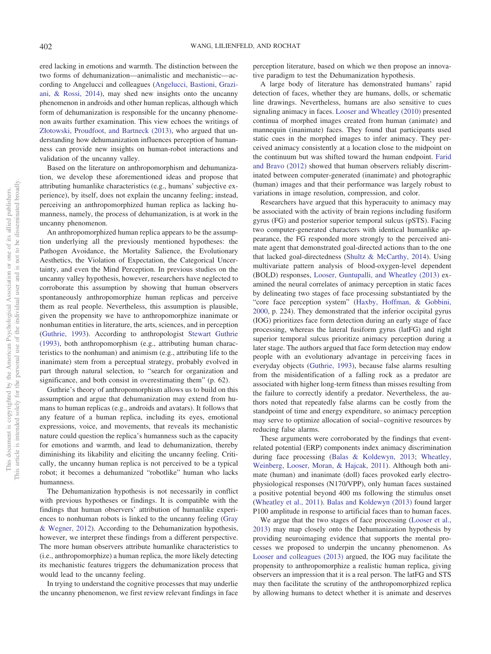ered lacking in emotions and warmth. The distinction between the two forms of dehumanization—animalistic and mechanistic—according to Angelucci and colleagues [\(Angelucci, Bastioni, Grazi](#page-11-2)[ani, & Rossi, 2014\)](#page-11-2), may shed new insights onto the uncanny phenomenon in androids and other human replicas, although which form of dehumanization is responsible for the uncanny phenomenon awaits further examination. This view echoes the writings of [Złotowski, Proudfoot, and Bartneck \(2013\),](#page-14-10) who argued that understanding how dehumanization influences perception of humanness can provide new insights on human-robot interactions and validation of the uncanny valley.

Based on the literature on anthropomorphism and dehumanization, we develop these aforementioned ideas and propose that attributing humanlike characteristics (e.g., humans' subjective experience), by itself, does not explain the uncanny feeling; instead, perceiving an anthropomorphized human replica as lacking humanness, namely, the process of dehumanization, is at work in the uncanny phenomenon.

An anthropomorphized human replica appears to be the assumption underlying all the previously mentioned hypotheses: the Pathogen Avoidance, the Mortality Salience, the Evolutionary Aesthetics, the Violation of Expectation, the Categorical Uncertainty, and even the Mind Perception. In previous studies on the uncanny valley hypothesis, however, researchers have neglected to corroborate this assumption by showing that human observers spontaneously anthropomorphize human replicas and perceive them as real people. Nevertheless, this assumption is plausible, given the propensity we have to anthropomorphize inanimate or nonhuman entities in literature, the arts, sciences, and in perception [\(Guthrie, 1993\)](#page-12-26). According to anthropologist [Stewart Guthrie](#page-12-26) [\(1993\),](#page-12-26) both anthropomorphism (e.g., attributing human characteristics to the nonhuman) and animism (e.g., attributing life to the inanimate) stem from a perceptual strategy, probably evolved in part through natural selection, to "search for organization and significance, and both consist in overestimating them" (p. 62).

Guthrie's theory of anthropomorphism allows us to build on this assumption and argue that dehumanization may extend from humans to human replicas (e.g., androids and avatars). It follows that any feature of a human replica, including its eyes, emotional expressions, voice, and movements, that reveals its mechanistic nature could question the replica's humanness such as the capacity for emotions and warmth, and lead to dehumanization, thereby diminishing its likability and eliciting the uncanny feeling. Critically, the uncanny human replica is not perceived to be a typical robot; it becomes a dehumanized "robotlike" human who lacks humanness.

The Dehumanization hypothesis is not necessarily in conflict with previous hypotheses or findings. It is compatible with the findings that human observers' attribution of humanlike experiences to nonhuman robots is linked to the uncanny feeling [\(Gray](#page-12-7) [& Wegner, 2012\)](#page-12-7). According to the Dehumanization hypothesis, however, we interpret these findings from a different perspective. The more human observers attribute humanlike characteristics to (i.e., anthropomorphize) a human replica, the more likely detecting its mechanistic features triggers the dehumanization process that would lead to the uncanny feeling.

In trying to understand the cognitive processes that may underlie the uncanny phenomenon, we first review relevant findings in face perception literature, based on which we then propose an innovative paradigm to test the Dehumanization hypothesis.

A large body of literature has demonstrated humans' rapid detection of faces, whether they are humans, dolls, or schematic line drawings. Nevertheless, humans are also sensitive to cues signaling animacy in faces. [Looser and Wheatley \(2010\)](#page-13-35) presented continua of morphed images created from human (animate) and mannequin (inanimate) faces. They found that participants used static cues in the morphed images to infer animacy. They perceived animacy consistently at a location close to the midpoint on the continuum but was shifted toward the human endpoint. [Farid](#page-12-27) [and Bravo \(2012\)](#page-12-27) showed that human observers reliably discriminated between computer-generated (inanimate) and photographic (human) images and that their performance was largely robust to variations in image resolution, compression, and color.

Researchers have argued that this hyperacuity to animacy may be associated with the activity of brain regions including fusiform gyrus (FG) and posterior superior temporal sulcus (pSTS). Facing two computer-generated characters with identical humanlike appearance, the FG responded more strongly to the perceived animate agent that demonstrated goal-directed actions than to the one that lacked goal-directedness [\(Shultz & McCarthy, 2014\)](#page-13-36). Using multivariate pattern analysis of blood-oxygen-level dependent (BOLD) responses, [Looser, Guntupalli, and Wheatley \(2013\)](#page-13-37) examined the neural correlates of animacy perception in static faces by delineating two stages of face processing substantiated by the "core face perception system" [\(Haxby, Hoffman, & Gobbini,](#page-12-28) [2000,](#page-12-28) p. 224). They demonstrated that the inferior occipital gyrus (IOG) prioritizes face form detection during an early stage of face processing, whereas the lateral fusiform gyrus (latFG) and right superior temporal sulcus prioritize animacy perception during a later stage. The authors argued that face form detection may endow people with an evolutionary advantage in perceiving faces in everyday objects [\(Guthrie, 1993\)](#page-12-26), because false alarms resulting from the misidentification of a falling rock as a predator are associated with higher long-term fitness than misses resulting from the failure to correctly identify a predator. Nevertheless, the authors noted that repeatedly false alarms can be costly from the standpoint of time and energy expenditure, so animacy perception may serve to optimize allocation of social–cognitive resources by reducing false alarms.

These arguments were corroborated by the findings that eventrelated potential (ERP) components index animacy discrimination during face processing [\(Balas & Koldewyn, 2013;](#page-12-29) [Wheatley,](#page-14-11) [Weinberg, Looser, Moran, & Hajcak, 2011\)](#page-14-11). Although both animate (human) and inanimate (doll) faces provoked early electrophysiological responses (N170/VPP), only human faces sustained a positive potential beyond 400 ms following the stimulus onset [\(Wheatley et al., 2011\)](#page-14-11). [Balas and Koldewyn \(2013\)](#page-12-29) found larger P100 amplitude in response to artificial faces than to human faces.

We argue that the two stages of face processing [\(Looser et al.,](#page-13-37) [2013\)](#page-13-37) may map closely onto the Dehumanization hypothesis by providing neuroimaging evidence that supports the mental processes we proposed to underpin the uncanny phenomenon. As [Looser and colleagues \(2013\)](#page-13-37) argued, the IOG may facilitate the propensity to anthropomorphize a realistic human replica, giving observers an impression that it is a real person. The latFG and STS may then facilitate the scrutiny of the anthropomorphized replica by allowing humans to detect whether it is animate and deserves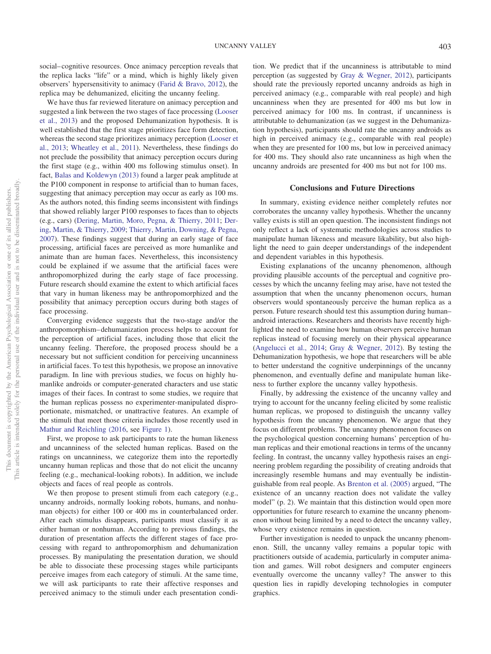We have thus far reviewed literature on animacy perception and suggested a link between the two stages of face processing [\(Looser](#page-13-37) [et al., 2013\)](#page-13-37) and the proposed Dehumanization hypothesis. It is well established that the first stage prioritizes face form detection, whereas the second stage prioritizes animacy perception [\(Looser et](#page-13-37) [al., 2013;](#page-13-37) [Wheatley et al., 2011\)](#page-14-11). Nevertheless, these findings do not preclude the possibility that animacy perception occurs during the first stage (e.g., within 400 ms following stimulus onset). In fact, [Balas and Koldewyn \(2013\)](#page-12-29) found a larger peak amplitude at the P100 component in response to artificial than to human faces, suggesting that animacy perception may occur as early as 100 ms. As the authors noted, this finding seems inconsistent with findings that showed reliably larger P100 responses to faces than to objects (e.g., cars) [\(Dering, Martin, Moro, Pegna, & Thierry, 2011;](#page-12-30) [Der](#page-12-31)[ing, Martin, & Thierry, 2009;](#page-12-31) [Thierry, Martin, Downing, & Pegna,](#page-14-12) [2007\)](#page-14-12). These findings suggest that during an early stage of face processing, artificial faces are perceived as more humanlike and animate than are human faces. Nevertheless, this inconsistency could be explained if we assume that the artificial faces were anthropomorphized during the early stage of face processing. Future research should examine the extent to which artificial faces that vary in human likeness may be anthropomorphized and the possibility that animacy perception occurs during both stages of face processing.

Converging evidence suggests that the two-stage and/or the anthropomorphism–dehumanization process helps to account for the perception of artificial faces, including those that elicit the uncanny feeling. Therefore, the proposed process should be a necessary but not sufficient condition for perceiving uncanniness in artificial faces. To test this hypothesis, we propose an innovative paradigm. In line with previous studies, we focus on highly humanlike androids or computer-generated characters and use static images of their faces. In contrast to some studies, we require that the human replicas possess no experimenter-manipulated disproportionate, mismatched, or unattractive features. An example of the stimuli that meet those criteria includes those recently used in [Mathur and Reichling \(2016,](#page-13-6) see [Figure 1\)](#page-11-3).

First, we propose to ask participants to rate the human likeness and uncanniness of the selected human replicas. Based on the ratings on uncanniness, we categorize them into the reportedly uncanny human replicas and those that do not elicit the uncanny feeling (e.g., mechanical-looking robots). In addition, we include objects and faces of real people as controls.

We then propose to present stimuli from each category (e.g., uncanny androids, normally looking robots, humans, and nonhuman objects) for either 100 or 400 ms in counterbalanced order. After each stimulus disappears, participants must classify it as either human or nonhuman. According to previous findings, the duration of presentation affects the different stages of face processing with regard to anthropomorphism and dehumanization processes. By manipulating the presentation duration, we should be able to dissociate these processing stages while participants perceive images from each category of stimuli. At the same time, we will ask participants to rate their affective responses and perceived animacy to the stimuli under each presentation condition. We predict that if the uncanniness is attributable to mind perception (as suggested by [Gray & Wegner, 2012\)](#page-12-7), participants should rate the previously reported uncanny androids as high in perceived animacy (e.g., comparable with real people) and high uncanniness when they are presented for 400 ms but low in perceived animacy for 100 ms. In contrast, if uncanniness is attributable to dehumanization (as we suggest in the Dehumanization hypothesis), participants should rate the uncanny androids as high in perceived animacy (e.g., comparable with real people) when they are presented for 100 ms, but low in perceived animacy for 400 ms. They should also rate uncanniness as high when the uncanny androids are presented for 400 ms but not for 100 ms.

## **Conclusions and Future Directions**

In summary, existing evidence neither completely refutes nor corroborates the uncanny valley hypothesis. Whether the uncanny valley exists is still an open question. The inconsistent findings not only reflect a lack of systematic methodologies across studies to manipulate human likeness and measure likability, but also highlight the need to gain deeper understandings of the independent and dependent variables in this hypothesis.

Existing explanations of the uncanny phenomenon, although providing plausible accounts of the perceptual and cognitive processes by which the uncanny feeling may arise, have not tested the assumption that when the uncanny phenomenon occurs, human observers would spontaneously perceive the human replica as a person. Future research should test this assumption during human– android interactions. Researchers and theorists have recently highlighted the need to examine how human observers perceive human replicas instead of focusing merely on their physical appearance [\(Angelucci et al., 2014;](#page-11-2) [Gray & Wegner, 2012\)](#page-12-7). By testing the Dehumanization hypothesis, we hope that researchers will be able to better understand the cognitive underpinnings of the uncanny phenomenon, and eventually define and manipulate human likeness to further explore the uncanny valley hypothesis.

Finally, by addressing the existence of the uncanny valley and trying to account for the uncanny feeling elicited by some realistic human replicas, we proposed to distinguish the uncanny valley hypothesis from the uncanny phenomenon. We argue that they focus on different problems. The uncanny phenomenon focuses on the psychological question concerning humans' perception of human replicas and their emotional reactions in terms of the uncanny feeling. In contrast, the uncanny valley hypothesis raises an engineering problem regarding the possibility of creating androids that increasingly resemble humans and may eventually be indistinguishable from real people. As [Brenton et al. \(2005\)](#page-12-8) argued, "The existence of an uncanny reaction does not validate the valley model" (p. 2). We maintain that this distinction would open more opportunities for future research to examine the uncanny phenomenon without being limited by a need to detect the uncanny valley, whose very existence remains in question.

Further investigation is needed to unpack the uncanny phenomenon. Still, the uncanny valley remains a popular topic with practitioners outside of academia, particularly in computer animation and games. Will robot designers and computer engineers eventually overcome the uncanny valley? The answer to this question lies in rapidly developing technologies in computer graphics.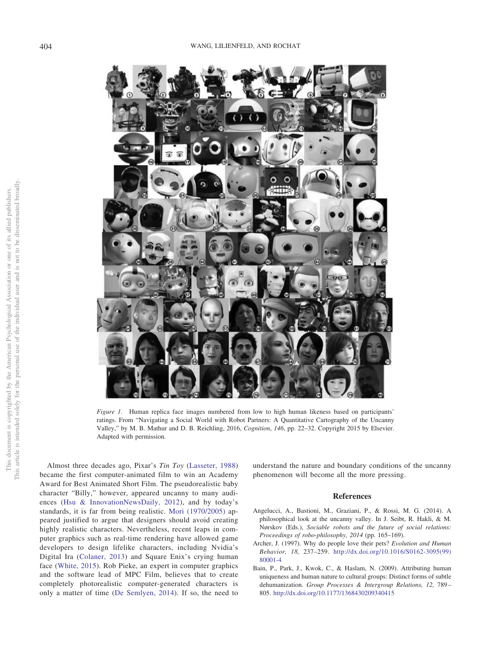

*Figure 1.* Human replica face images numbered from low to high human likeness based on participants' ratings. From "Navigating a Social World with Robot Partners: A Quantitative Cartography of the Uncanny Valley," by M. B. Mathur and D. B. Reichling, 2016, *Cognition*, *146*, pp. 22–32. Copyright 2015 by Elsevier. Adapted with permission.

<span id="page-11-3"></span>Almost three decades ago, Pixar's *Tin Toy* [\(Lasseter, 1988\)](#page-13-38) became the first computer-animated film to win an Academy Award for Best Animated Short Film. The pseudorealistic baby character "Billy," however, appeared uncanny to many audiences [\(Hsu & InnovationNewsDaily, 2012\)](#page-12-32), and by today's standards, it is far from being realistic. [Mori \(1970/2005\)](#page-13-0) appeared justified to argue that designers should avoid creating highly realistic characters. Nevertheless, recent leaps in computer graphics such as real-time rendering have allowed game developers to design lifelike characters, including Nvidia's Digital Ira [\(Colaner, 2013\)](#page-12-33) and Square Enix's crying human face [\(White, 2015\)](#page-14-13). Rob Pieke, an expert in computer graphics and the software lead of MPC Film, believes that to create completely photorealistic computer-generated characters is only a matter of time [\(De Semlyen, 2014\)](#page-12-34). If so, the need to

understand the nature and boundary conditions of the uncanny phenomenon will become all the more pressing.

#### **References**

- <span id="page-11-2"></span>Angelucci, A., Bastioni, M., Graziani, P., & Rossi, M. G. (2014). A philosophical look at the uncanny valley. In J. Seibt, R. Hakli, & M. Nørskov (Eds.), *Sociable robots and the future of social relations: Proceedings of robo-philosophy, 2014* (pp. 165–169).
- <span id="page-11-0"></span>Archer, J. (1997). Why do people love their pets? *Evolution and Human Behavior, 18,* 237–259. [http://dx.doi.org/10.1016/S0162-3095\(99\)](http://dx.doi.org/10.1016/S0162-3095%2899%2980001-4) [80001-4](http://dx.doi.org/10.1016/S0162-3095%2899%2980001-4)
- <span id="page-11-1"></span>Bain, P., Park, J., Kwok, C., & Haslam, N. (2009). Attributing human uniqueness and human nature to cultural groups: Distinct forms of subtle dehumanization. *Group Processes & Intergroup Relations, 12,* 789– 805. <http://dx.doi.org/10.1177/1368430209340415>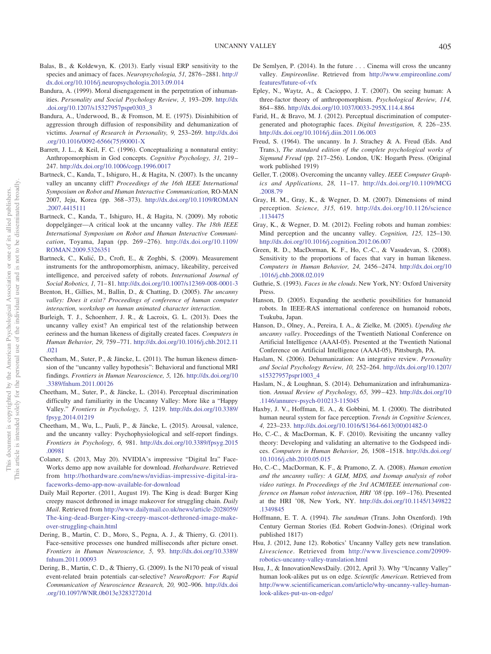- <span id="page-12-29"></span>Balas, B., & Koldewyn, K. (2013). Early visual ERP sensitivity to the species and animacy of faces. *Neuropsychologia, 51,* 2876–2881. [http://](http://dx.doi.org/10.1016/j.neuropsychologia.2013.09.014) [dx.doi.org/10.1016/j.neuropsychologia.2013.09.014](http://dx.doi.org/10.1016/j.neuropsychologia.2013.09.014)
- <span id="page-12-24"></span>Bandura, A. (1999). Moral disengagement in the perpetration of inhumanities. *Personality and Social Psychology Review, 3,* 193–209. [http://dx](http://dx.doi.org/10.1207/s15327957pspr0303_3) [.doi.org/10.1207/s15327957pspr0303\\_3](http://dx.doi.org/10.1207/s15327957pspr0303_3)
- <span id="page-12-23"></span>Bandura, A., Underwood, B., & Fromson, M. E. (1975). Disinhibition of aggression through diffusion of responsibility and dehumanization of victims. *Journal of Research in Personality, 9,* 253–269. [http://dx.doi](http://dx.doi.org/10.1016/0092-6566%2875%2990001-X) [.org/10.1016/0092-6566\(75\)90001-X](http://dx.doi.org/10.1016/0092-6566%2875%2990001-X)
- <span id="page-12-14"></span>Barrett, J. L., & Keil, F. C. (1996). Conceptualizing a nonnatural entity: Anthropomorphism in God concepts. *Cognitive Psychology, 31,* 219– 247. <http://dx.doi.org/10.1006/cogp.1996.0017>
- <span id="page-12-2"></span>Bartneck, C., Kanda, T., Ishiguro, H., & Hagita, N. (2007). Is the uncanny valley an uncanny cliff? *Proceedings of the 16th IEEE International Symposium on Robot and Human Interactive Communication,* RO-MAN 2007, Jeju, Korea (pp. 368–373). [http://dx.doi.org/10.1109/ROMAN](http://dx.doi.org/10.1109/ROMAN.2007.4415111) [.2007.4415111](http://dx.doi.org/10.1109/ROMAN.2007.4415111)
- <span id="page-12-17"></span>Bartneck, C., Kanda, T., Ishiguro, H., & Hagita, N. (2009). My robotic doppelgänger—A critical look at the uncanny valley. *The 18th IEEE International Symposium on Robot and Human Interactive Communication*, Toyama, Japan (pp. 269–276). [http://dx.doi.org/10.1109/](http://dx.doi.org/10.1109/ROMAN.2009.5326351) [ROMAN.2009.5326351](http://dx.doi.org/10.1109/ROMAN.2009.5326351)
- <span id="page-12-18"></span>Bartneck, C., Kulić, D., Croft, E., & Zoghbi, S. (2009). Measurement instruments for the anthropomorphism, animacy, likeability, perceived intelligence, and perceived safety of robots. *International Journal of Social Robotics, 1,* 71–81. <http://dx.doi.org/10.1007/s12369-008-0001-3>
- <span id="page-12-8"></span>Brenton, H., Gillies, M., Ballin, D., & Chatting, D. (2005). *The uncanny valley: Does it exist? Proceedings of conference of human computer interaction, workshop on human animated character interaction*.
- <span id="page-12-21"></span>Burleigh, T. J., Schoenherr, J. R., & Lacroix, G. L. (2013). Does the uncanny valley exist? An empirical test of the relationship between eeriness and the human likeness of digitally created faces. *Computers in Human Behavior, 29,* 759–771. [http://dx.doi.org/10.1016/j.chb.2012.11](http://dx.doi.org/10.1016/j.chb.2012.11.021) [.021](http://dx.doi.org/10.1016/j.chb.2012.11.021)
- <span id="page-12-16"></span>Cheetham, M., Suter, P., & Jäncke, L. (2011). The human likeness dimension of the "uncanny valley hypothesis": Behavioral and functional MRI findings. *Frontiers in Human Neuroscience, 5,* 126. [http://dx.doi.org/10](http://dx.doi.org/10.3389/fnhum.2011.00126) [.3389/fnhum.2011.00126](http://dx.doi.org/10.3389/fnhum.2011.00126)
- <span id="page-12-10"></span>Cheetham, M., Suter, P., & Jäncke, L. (2014). Perceptual discrimination difficulty and familiarity in the Uncanny Valley: More like a "Happy Valley." *Frontiers in Psychology, 5,* 1219. [http://dx.doi.org/10.3389/](http://dx.doi.org/10.3389/fpsyg.2014.01219) [fpsyg.2014.01219](http://dx.doi.org/10.3389/fpsyg.2014.01219)
- <span id="page-12-9"></span>Cheetham, M., Wu, L., Pauli, P., & Jäncke, L. (2015). Arousal, valence, and the uncanny valley: Psychophysiological and self-report findings. *Frontiers in Psychology, 6,* 981. [http://dx.doi.org/10.3389/fpsyg.2015](http://dx.doi.org/10.3389/fpsyg.2015.00981) [.00981](http://dx.doi.org/10.3389/fpsyg.2015.00981)
- <span id="page-12-33"></span>Colaner, S. (2013, May 20). NVIDIA's impressive "Digital Ira" Face-Works demo app now available for download. *Hothardware*. Retrieved from [http://hothardware.com/news/nvidias-impressive-digital-ira](http://hothardware.com/news/nvidias-impressive-digital-ira-faceworks-demo-app-now-available-for-download)[faceworks-demo-app-now-available-for-download](http://hothardware.com/news/nvidias-impressive-digital-ira-faceworks-demo-app-now-available-for-download)
- <span id="page-12-1"></span>Daily Mail Reporter. (2011, August 19). The King is dead: Burger King creepy mascot dethroned in image makeover for struggling chain. *Daily Mail*. Retrieved from [http://www.dailymail.co.uk/news/article-2028059/](http://www.dailymail.co.uk/news/article-2028059/The-king-dead-Burger-King-creepy-mascot-dethroned-image-makeover-struggling-chain.html) [The-king-dead-Burger-King-creepy-mascot-dethroned-image-make](http://www.dailymail.co.uk/news/article-2028059/The-king-dead-Burger-King-creepy-mascot-dethroned-image-makeover-struggling-chain.html)[over-struggling-chain.html](http://www.dailymail.co.uk/news/article-2028059/The-king-dead-Burger-King-creepy-mascot-dethroned-image-makeover-struggling-chain.html)
- <span id="page-12-30"></span>Dering, B., Martin, C. D., Moro, S., Pegna, A. J., & Thierry, G. (2011). Face-sensitive processes one hundred milliseconds after picture onset. *Frontiers in Human Neuroscience, 5,* 93. [http://dx.doi.org/10.3389/](http://dx.doi.org/10.3389/fnhum.2011.00093) [fnhum.2011.00093](http://dx.doi.org/10.3389/fnhum.2011.00093)
- <span id="page-12-31"></span>Dering, B., Martin, C. D., & Thierry, G. (2009). Is the N170 peak of visual event-related brain potentials car-selective? *NeuroReport: For Rapid Communication of Neuroscience Research, 20,* 902–906. [http://dx.doi](http://dx.doi.org/10.1097/WNR.0b013e328327201d) [.org/10.1097/WNR.0b013e328327201d](http://dx.doi.org/10.1097/WNR.0b013e328327201d)
- <span id="page-12-34"></span>De Semlyen, P. (2014). In the future... Cinema will cross the uncanny valley. *Empireonline*. Retrieved from [http://www.empireonline.com/](http://www.empireonline.com/features/future-of-vfx) [features/future-of-vfx](http://www.empireonline.com/features/future-of-vfx)
- <span id="page-12-13"></span>Epley, N., Waytz, A., & Cacioppo, J. T. (2007). On seeing human: A three-factor theory of anthropomorphism. *Psychological Review, 114,* 864–886. <http://dx.doi.org/10.1037/0033-295X.114.4.864>
- <span id="page-12-27"></span>Farid, H., & Bravo, M. J. (2012). Perceptual discrimination of computergenerated and photographic faces. *Digital Investigation, 8,* 226–235. <http://dx.doi.org/10.1016/j.diin.2011.06.003>
- <span id="page-12-6"></span>Freud, S. (1964). The uncanny. In J. Strachey & A. Freud (Eds. And Trans.), *The standard edition of the complete psychological works of Sigmund Freud* (pp. 217–256). London, UK: Hogarth Press. (Original work published 1919)
- <span id="page-12-0"></span>Geller, T. (2008). Overcoming the uncanny valley. *IEEE Computer Graphics and Applications, 28,* 11–17. [http://dx.doi.org/10.1109/MCG](http://dx.doi.org/10.1109/MCG.2008.79) [.2008.79](http://dx.doi.org/10.1109/MCG.2008.79)
- <span id="page-12-12"></span>Gray, H. M., Gray, K., & Wegner, D. M. (2007). Dimensions of mind perception. *Science, 315,* 619. [http://dx.doi.org/10.1126/science](http://dx.doi.org/10.1126/science.1134475) [.1134475](http://dx.doi.org/10.1126/science.1134475)
- <span id="page-12-7"></span>Gray, K., & Wegner, D. M. (2012). Feeling robots and human zombies: Mind perception and the uncanny valley. *Cognition, 125,* 125–130. <http://dx.doi.org/10.1016/j.cognition.2012.06.007>
- <span id="page-12-4"></span>Green, R. D., MacDorman, K. F., Ho, C.-C., & Vasudevan, S. (2008). Sensitivity to the proportions of faces that vary in human likeness. *Computers in Human Behavior, 24,* 2456–2474. [http://dx.doi.org/10](http://dx.doi.org/10.1016/j.chb.2008.02.019) [.1016/j.chb.2008.02.019](http://dx.doi.org/10.1016/j.chb.2008.02.019)
- <span id="page-12-26"></span>Guthrie, S. (1993). *Faces in the clouds*. New York, NY: Oxford University Press.
- <span id="page-12-3"></span>Hanson, D. (2005). Expanding the aesthetic possibilities for humanoid robots. In IEEE-RAS international conference on humanoid robots, Tsukuba, Japan.
- <span id="page-12-15"></span>Hanson, D., Olney, A., Pereira, I. A., & Zielke, M. (2005). *Upending the uncanny valley*. Proceedings of the Twentieth National Conference on Artificial Intelligence (AAAI-05). Presented at the Twentieth National Conference on Artificial Intelligence (AAAI-05), Pittsburgh, PA.
- <span id="page-12-25"></span>Haslam, N. (2006). Dehumanization: An integrative review. *Personality and Social Psychology Review, 10,* 252–264. [http://dx.doi.org/10.1207/](http://dx.doi.org/10.1207/s15327957pspr1003_4) [s15327957pspr1003\\_4](http://dx.doi.org/10.1207/s15327957pspr1003_4)
- <span id="page-12-11"></span>Haslam, N., & Loughnan, S. (2014). Dehumanization and infrahumanization. *Annual Review of Psychology, 65,* 399–423. [http://dx.doi.org/10](http://dx.doi.org/10.1146/annurev-psych-010213-115045) [.1146/annurev-psych-010213-115045](http://dx.doi.org/10.1146/annurev-psych-010213-115045)
- <span id="page-12-28"></span>Haxby, J. V., Hoffman, E. A., & Gobbini, M. I. (2000). The distributed human neural system for face perception. *Trends in Cognitive Sciences, 4,* 223–233. [http://dx.doi.org/10.1016/S1364-6613\(00\)01482-0](http://dx.doi.org/10.1016/S1364-6613%2800%2901482-0)
- <span id="page-12-20"></span>Ho, C.-C., & MacDorman, K. F. (2010). Revisiting the uncanny valley theory: Developing and validating an alternative to the Godspeed indices. *Computers in Human Behavior, 26,* 1508–1518. [http://dx.doi.org/](http://dx.doi.org/10.1016/j.chb.2010.05.015) [10.1016/j.chb.2010.05.015](http://dx.doi.org/10.1016/j.chb.2010.05.015)
- <span id="page-12-5"></span>Ho, C.-C., MacDorman, K. F., & Pramono, Z. A. (2008). *Human emotion and the uncanny valley: A GLM, MDS, and Isomap analysis of robot video ratings*. *In Proceedings of the 3rd ACM/IEEE international conference on Human robot interaction, HRI '08* (pp. 169–176). Presented at the HRI '08, New York, NY. [http://dx.doi.org/10.1145/1349822](http://dx.doi.org/10.1145/1349822.1349845) [.1349845](http://dx.doi.org/10.1145/1349822.1349845)
- <span id="page-12-22"></span>Hoffmann, E. T. A. (1994). *The sandman* (Trans. John Oxenford). 19th Century German Stories (Ed. Robert Godwin-Jones). (Original work published 1817)
- <span id="page-12-19"></span>Hsu, J. (2012, June 12). Robotics' Uncanny Valley gets new translation. *Livescience*. Retrieved from [http://www.livescience.com/20909](http://www.livescience.com/20909-robotics-uncanny-valley-translation.html) [robotics-uncanny-valley-translation.html](http://www.livescience.com/20909-robotics-uncanny-valley-translation.html)
- <span id="page-12-32"></span>Hsu, J., & InnovationNewsDaily. (2012, April 3). Why "Uncanny Valley" human look-alikes put us on edge. *Scientific American*. Retrieved from [http://www.scientificamerican.com/article/why-uncanny-valley-human](http://www.scientificamerican.com/article/why-uncanny-valley-human-look-alikes-put-us-on-edge/)[look-alikes-put-us-on-edge/](http://www.scientificamerican.com/article/why-uncanny-valley-human-look-alikes-put-us-on-edge/)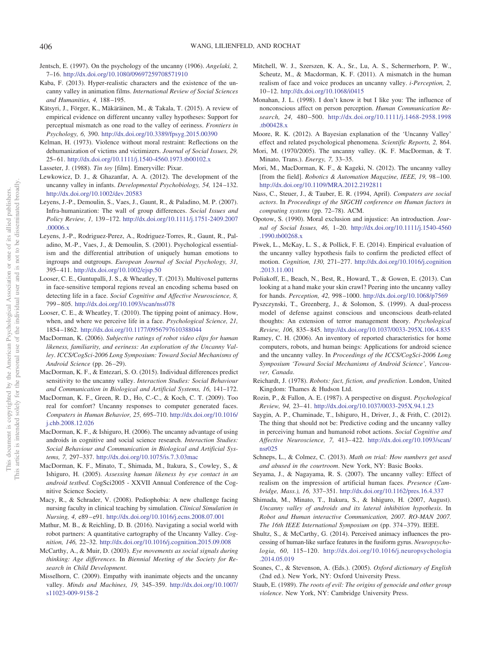- <span id="page-13-15"></span>Jentsch, E. (1997). On the psychology of the uncanny (1906). *Angelaki, 2,* 7–16. <http://dx.doi.org/10.1080/09697259708571910>
- <span id="page-13-2"></span>Kaba, F. (2013). Hyper-realistic characters and the existence of the uncanny valley in animation films. *International Review of Social Sciences and Humanities, 4,* 188–195.
- <span id="page-13-18"></span>Kätsyri, J., Förger, K., Mäkäräinen, M., & Takala, T. (2015). A review of empirical evidence on different uncanny valley hypotheses: Support for perceptual mismatch as one road to the valley of eeriness. *Frontiers in Psychology, 6,* 390. <http://dx.doi.org/10.3389/fpsyg.2015.00390>
- <span id="page-13-30"></span>Kelman, H. (1973). Violence without moral restraint: Reflections on the dehumanization of victims and victimizers. *Journal of Social Issues, 29,* 25–61. <http://dx.doi.org/10.1111/j.1540-4560.1973.tb00102.x>
- <span id="page-13-38"></span>Lasseter, J. (1988). *Tin toy* [film]. Emeryville: Pixar.
- <span id="page-13-10"></span>Lewkowicz, D. J., & Ghazanfar, A. A. (2012). The development of the uncanny valley in infants. *Developmental Psychobiology, 54,* 124–132. <http://dx.doi.org/10.1002/dev.20583>
- <span id="page-13-34"></span>Leyens, J.-P., Demoulin, S., Vaes, J., Gaunt, R., & Paladino, M. P. (2007). Infra-humanization: The wall of group differences. *Social Issues and Policy Review, 1,* 139–172. [http://dx.doi.org/10.1111/j.1751-2409.2007](http://dx.doi.org/10.1111/j.1751-2409.2007.00006.x) [.00006.x](http://dx.doi.org/10.1111/j.1751-2409.2007.00006.x)
- <span id="page-13-33"></span>Leyens, J.-P., Rodriguez-Perez, A., Rodriguez-Torres, R., Gaunt, R., Paladino, M.-P., Vaes, J., & Demoulin, S. (2001). Psychological essentialism and the differential attribution of uniquely human emotions to ingroups and outgroups. *European Journal of Social Psychology, 31,* 395–411. <http://dx.doi.org/10.1002/ejsp.50>
- <span id="page-13-37"></span>Looser, C. E., Guntupalli, J. S., & Wheatley, T. (2013). Multivoxel patterns in face-sensitive temporal regions reveal an encoding schema based on detecting life in a face. *Social Cognitive and Affective Neuroscience, 8,* 799–805. <http://dx.doi.org/10.1093/scan/nss078>
- <span id="page-13-35"></span>Looser, C. E., & Wheatley, T. (2010). The tipping point of animacy. How, when, and where we perceive life in a face. *Psychological Science, 21,* 1854–1862. <http://dx.doi.org/10.1177/0956797610388044>
- <span id="page-13-7"></span>MacDorman, K. (2006). *Subjective ratings of robot video clips for human likeness, familiarity, and eeriness: An exploration of the Uncanny Valley*. *ICCS/CogSci-2006 Long Symposium: Toward Social Mechanisms of Android Science* (pp. 26–29).
- <span id="page-13-13"></span>MacDorman, K. F., & Entezari, S. O. (2015). Individual differences predict sensitivity to the uncanny valley. *Interaction Studies: Social Behaviour and Communication in Biological and Artificial Systems, 16,* 141–172.
- <span id="page-13-11"></span>MacDorman, K. F., Green, R. D., Ho, C.-C., & Koch, C. T. (2009). Too real for comfort? Uncanny responses to computer generated faces. *Computers in Human Behavior, 25,* 695–710. [http://dx.doi.org/10.1016/](http://dx.doi.org/10.1016/j.chb.2008.12.026) [j.chb.2008.12.026](http://dx.doi.org/10.1016/j.chb.2008.12.026)
- <span id="page-13-1"></span>MacDorman, K. F., & Ishiguro, H. (2006). The uncanny advantage of using androids in cognitive and social science research. *Interaction Studies: Social Behaviour and Communication in Biological and Artificial Systems, 7,* 297–337. <http://dx.doi.org/10.1075/is.7.3.03mac>
- <span id="page-13-26"></span>MacDorman, K. F., Minato, T., Shimada, M., Itakura, S., Cowley, S., & Ishiguro, H. (2005). *Assessing human likeness by eye contact in an android testbed*. CogSci2005 - XXVII Annual Conference of the Cognitive Science Society.
- <span id="page-13-4"></span>Macy, R., & Schrader, V. (2008). Pediophobia: A new challenge facing nursing faculty in clinical teaching by simulation. *Clinical Simulation in Nursing, 4,* e89–e91. <http://dx.doi.org/10.1016/j.ecns.2008.07.001>
- <span id="page-13-6"></span>Mathur, M. B., & Reichling, D. B. (2016). Navigating a social world with robot partners: A quantitative cartography of the Uncanny Valley. *Cognition, 146,* 22–32. <http://dx.doi.org/10.1016/j.cognition.2015.09.008>
- <span id="page-13-28"></span>McCarthy, A., & Muir, D. (2003). *Eye movements as social signals during thinking: Age differences*. In *Biennial Meeting of the Society for Research in Child Development*.
- <span id="page-13-23"></span>Misselhorn, C. (2009). Empathy with inanimate objects and the uncanny valley. *Minds and Machines, 19,* 345–359. [http://dx.doi.org/10.1007/](http://dx.doi.org/10.1007/s11023-009-9158-2) [s11023-009-9158-2](http://dx.doi.org/10.1007/s11023-009-9158-2)
- <span id="page-13-9"></span>Mitchell, W. J., Szerszen, K. A., Sr., Lu, A. S., Schermerhorn, P. W., Scheutz, M., & Macdorman, K. F. (2011). A mismatch in the human realism of face and voice produces an uncanny valley. *i-Perception, 2,* 10–12. <http://dx.doi.org/10.1068/i0415>
- <span id="page-13-25"></span>Monahan, J. L. (1998). I don't know it but I like you: The influence of nonconscious affect on person perception. *Human Communication Research, 24,* 480–500. [http://dx.doi.org/10.1111/j.1468-2958.1998](http://dx.doi.org/10.1111/j.1468-2958.1998.tb00428.x) [.tb00428.x](http://dx.doi.org/10.1111/j.1468-2958.1998.tb00428.x)
- <span id="page-13-3"></span>Moore, R. K. (2012). A Bayesian explanation of the 'Uncanny Valley' effect and related psychological phenomena. *Scientific Reports, 2,* 864.
- <span id="page-13-0"></span>Mori, M. (1970/2005). The uncanny valley. (K. F. MacDorman, & T. Minato, Trans.). *Energy, 7,* 33–35.
- <span id="page-13-24"></span>Mori, M., MacDorman, K. F., & Kageki, N. (2012). The uncanny valley [from the field]. *Robotics & Automation Magazine, IEEE, 19,* 98–100. <http://dx.doi.org/10.1109/MRA.2012.2192811>
- <span id="page-13-20"></span>Nass, C., Steuer, J., & Tauber, E. R. (1994, April). *Computers are social actors*. In *Proceedings of the SIGCHI conference on Human factors in computing systems* (pp. 72–78). ACM.
- <span id="page-13-32"></span>Opotow, S. (1990). Moral exclusion and injustice: An introduction. *Journal of Social Issues, 46,* 1–20. [http://dx.doi.org/10.1111/j.1540-4560](http://dx.doi.org/10.1111/j.1540-4560.1990.tb00268.x) [.1990.tb00268.x](http://dx.doi.org/10.1111/j.1540-4560.1990.tb00268.x)
- <span id="page-13-22"></span>Piwek, L., McKay, L. S., & Pollick, F. E. (2014). Empirical evaluation of the uncanny valley hypothesis fails to confirm the predicted effect of motion. *Cognition, 130,* 271–277. [http://dx.doi.org/10.1016/j.cognition](http://dx.doi.org/10.1016/j.cognition.2013.11.001) [.2013.11.001](http://dx.doi.org/10.1016/j.cognition.2013.11.001)
- <span id="page-13-8"></span>Poliakoff, E., Beach, N., Best, R., Howard, T., & Gowen, E. (2013). Can looking at a hand make your skin crawl? Peering into the uncanny valley for hands. *Perception, 42,* 998–1000. <http://dx.doi.org/10.1068/p7569>
- <span id="page-13-14"></span>Pyszczynski, T., Greenberg, J., & Solomon, S. (1999). A dual-process model of defense against conscious and unconscious death-related thoughts: An extension of terror management theory. *Psychological Review, 106,* 835–845. <http://dx.doi.org/10.1037/0033-295X.106.4.835>
- <span id="page-13-17"></span>Ramey, C. H. (2006). An inventory of reported characteristics for home computers, robots, and human beings: Applications for android science and the uncanny valley. In *Proceedings of the ICCS/CogSci-2006 Long Symposium 'Toward Social Mechanisms of Android Science', Vancouver, Canada*.
- <span id="page-13-29"></span>Reichardt, J. (1978). *Robots: fact, fiction, and prediction*. London, United Kingdom: Thames & Hudson Ltd.
- <span id="page-13-12"></span>Rozin, P., & Fallon, A. E. (1987). A perspective on disgust. *Psychological Review, 94,* 23–41. <http://dx.doi.org/10.1037/0033-295X.94.1.23>
- <span id="page-13-16"></span>Saygin, A. P., Chaminade, T., Ishiguro, H., Driver, J., & Frith, C. (2012). The thing that should not be: Predictive coding and the uncanny valley in perceiving human and humanoid robot actions. *Social Cognitive and Affective Neuroscience, 7,* 413–422. [http://dx.doi.org/10.1093/scan/](http://dx.doi.org/10.1093/scan/nsr025) [nsr025](http://dx.doi.org/10.1093/scan/nsr025)
- <span id="page-13-21"></span>Schneps, L., & Colmez, C. (2013). *Math on trial: How numbers get used and abused in the courtroom*. New York, NY: Basic Books.
- <span id="page-13-5"></span>Seyama, J., & Nagayama, R. S. (2007). The uncanny valley: Effect of realism on the impression of artificial human faces. *Presence (Cambridge, Mass.), 16,* 337–351. <http://dx.doi.org/10.1162/pres.16.4.337>
- <span id="page-13-27"></span>Shimada, M., Minato, T., Itakura, S., & Ishiguro, H. (2007, August). *Uncanny valley of androids and its lateral inhibition hypothesis*. In *Robot and Human interactive Communication, 2007. RO-MAN 2007. The 16th IEEE International Symposium on* (pp. 374–379). IEEE.
- <span id="page-13-36"></span>Shultz, S., & McCarthy, G. (2014). Perceived animacy influences the processing of human-like surface features in the fusiform gyrus. *Neuropsychologia, 60,* 115–120. [http://dx.doi.org/10.1016/j.neuropsychologia](http://dx.doi.org/10.1016/j.neuropsychologia.2014.05.019) [.2014.05.019](http://dx.doi.org/10.1016/j.neuropsychologia.2014.05.019)
- <span id="page-13-19"></span>Soanes, C., & Stevenson, A. (Eds.). (2005). *Oxford dictionary of English* (2nd ed.). New York, NY: Oxford University Press.
- <span id="page-13-31"></span>Staub, E. (1989). *The roots of evil: The origins of genocide and other group violence*. New York, NY: Cambridge University Press.